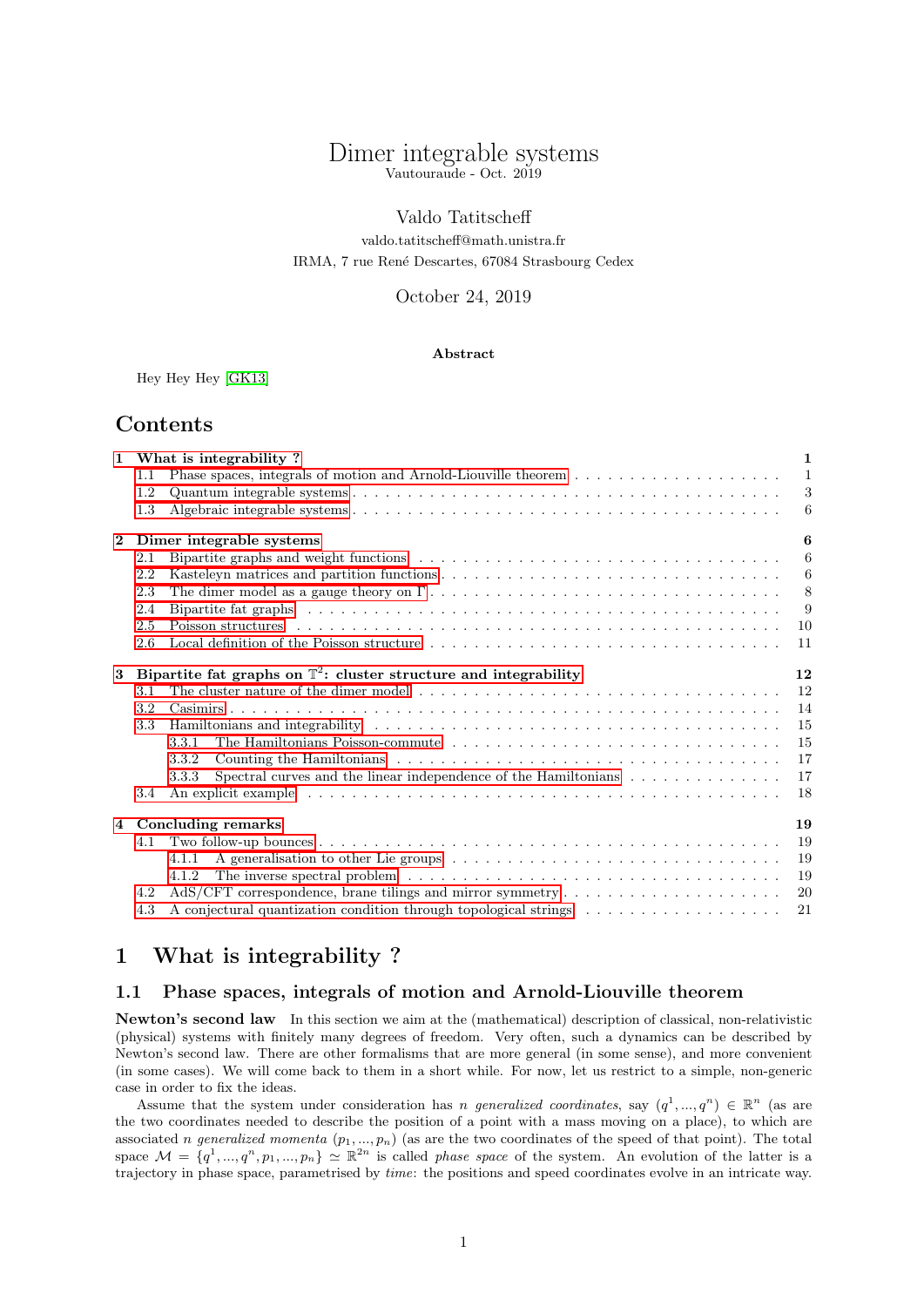# Dimer integrable systems Vautouraude - Oct. 2019

# Valdo Tatitscheff

valdo.tatitscheff@math.unistra.fr IRMA, 7 rue Ren´e Descartes, 67084 Strasbourg Cedex

## October 24, 2019

## Abstract

Hey Hey Hey [\[GK13\]](#page-22-0)

# Contents

|          |                                                                              | 1 What is integrability?                                                                                                                                                                                                      | $\mathbf{1}$     |
|----------|------------------------------------------------------------------------------|-------------------------------------------------------------------------------------------------------------------------------------------------------------------------------------------------------------------------------|------------------|
|          | 1.1                                                                          |                                                                                                                                                                                                                               | $\overline{1}$   |
|          | 1.2                                                                          |                                                                                                                                                                                                                               | $\boldsymbol{3}$ |
|          | 1.3                                                                          |                                                                                                                                                                                                                               | 6                |
| $\bf{2}$ |                                                                              | Dimer integrable systems                                                                                                                                                                                                      | 6                |
|          | 2.1                                                                          |                                                                                                                                                                                                                               | 6                |
|          | 2.2                                                                          |                                                                                                                                                                                                                               | 6                |
|          | 2.3                                                                          |                                                                                                                                                                                                                               | 8                |
|          | 2.4                                                                          | Bipartite fat graphs (all contained all contained all contained all contained all contained all contained all contained all contained all contained all contained all contained all contained all contained all contained all | - 9              |
|          | 2.5                                                                          |                                                                                                                                                                                                                               | 10               |
|          | 2.6                                                                          | Local definition of the Poisson structure $\dots \dots \dots \dots \dots \dots \dots \dots \dots \dots \dots \dots \dots$                                                                                                     | 11               |
| 3        | Bipartite fat graphs on $\mathbb{T}^2$ : cluster structure and integrability |                                                                                                                                                                                                                               | 12               |
|          | 3.1                                                                          |                                                                                                                                                                                                                               | 12               |
|          | 3.2                                                                          |                                                                                                                                                                                                                               | 14               |
|          | 3.3 <sub>1</sub>                                                             |                                                                                                                                                                                                                               | 15               |
|          |                                                                              | 3.3.1                                                                                                                                                                                                                         | 15               |
|          |                                                                              | 3.3.2                                                                                                                                                                                                                         | 17               |
|          |                                                                              | Spectral curves and the linear independence of the Hamiltonians $\dots \dots \dots \dots$<br>3.3.3                                                                                                                            | 17               |
|          | 3.4                                                                          |                                                                                                                                                                                                                               | 18               |
|          |                                                                              | 4 Concluding remarks                                                                                                                                                                                                          | 19               |
|          | 4.1                                                                          |                                                                                                                                                                                                                               | 19               |
|          |                                                                              | 4.1.1                                                                                                                                                                                                                         | 19               |
|          |                                                                              | The inverse spectral problem $\ldots \ldots \ldots \ldots \ldots \ldots \ldots \ldots \ldots \ldots \ldots \ldots$<br>4.1.2                                                                                                   | 19               |
|          | 4.2                                                                          | $AdS/CFT$ correspondence, brane tilings and mirror symmetry                                                                                                                                                                   | 20               |
|          | 4.3                                                                          | A conjectural quantization condition through topological strings                                                                                                                                                              | 21               |

# <span id="page-0-0"></span>1 What is integrability ?

# <span id="page-0-1"></span>1.1 Phase spaces, integrals of motion and Arnold-Liouville theorem

Newton's second law In this section we aim at the (mathematical) description of classical, non-relativistic (physical) systems with finitely many degrees of freedom. Very often, such a dynamics can be described by Newton's second law. There are other formalisms that are more general (in some sense), and more convenient (in some cases). We will come back to them in a short while. For now, let us restrict to a simple, non-generic case in order to fix the ideas.

Assume that the system under consideration has *n* generalized coordinates, say  $(q^1, ..., q^n) \in \mathbb{R}^n$  (as are the two coordinates needed to describe the position of a point with a mass moving on a place), to which are associated n generalized momenta  $(p_1, ..., p_n)$  (as are the two coordinates of the speed of that point). The total space  $\mathcal{M} = \{q^1, ..., q^n, p_1, ..., p_n\} \simeq \mathbb{R}^{2n}$  is called *phase space* of the system. An evolution of the latter is a trajectory in phase space, parametrised by time: the positions and speed coordinates evolve in an intricate way.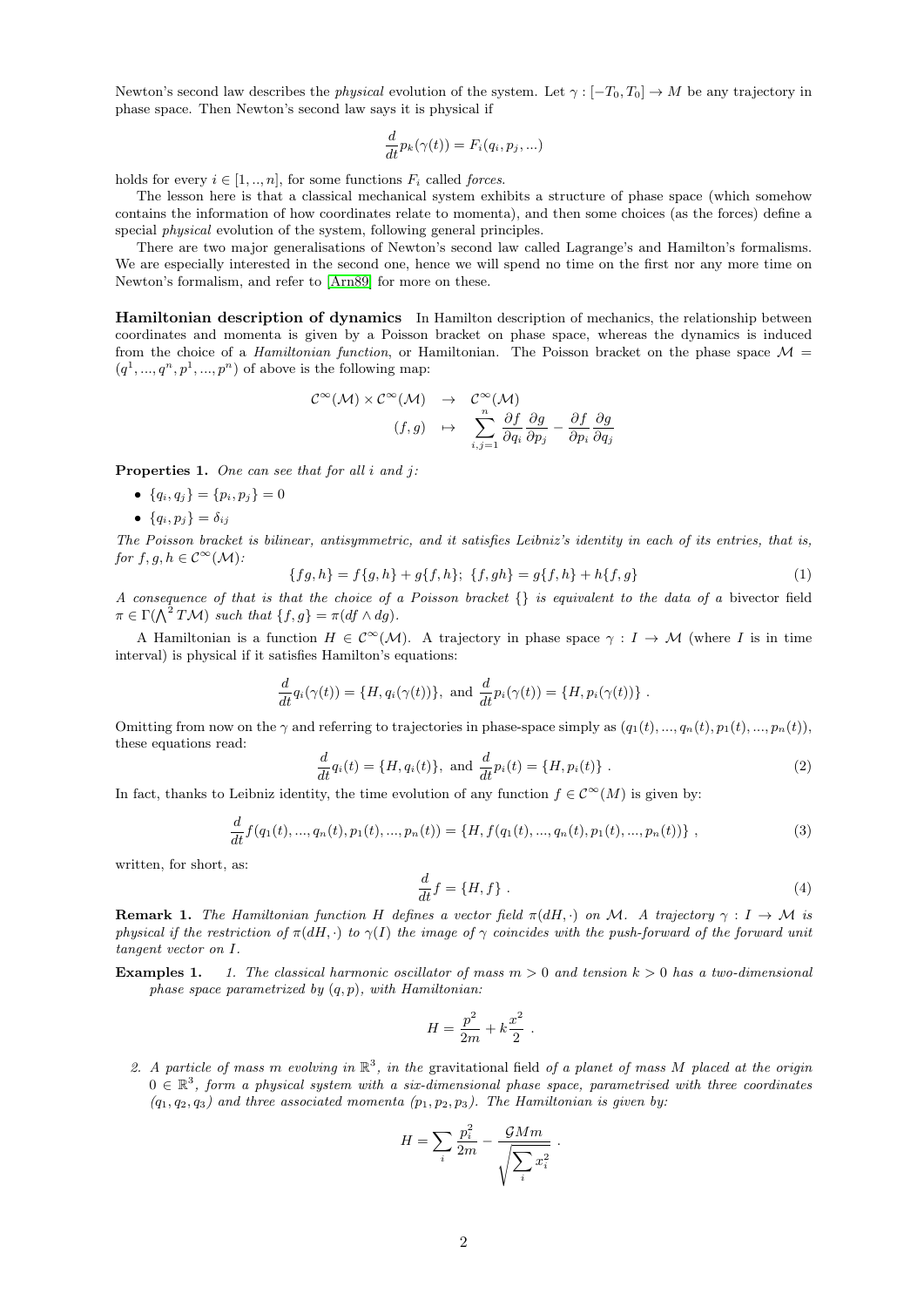Newton's second law describes the *physical* evolution of the system. Let  $\gamma : [-T_0, T_0] \to M$  be any trajectory in phase space. Then Newton's second law says it is physical if

$$
\frac{d}{dt}p_k(\gamma(t)) = F_i(q_i, p_j, \ldots)
$$

holds for every  $i \in [1, ..., n]$ , for some functions  $F_i$  called forces.

The lesson here is that a classical mechanical system exhibits a structure of phase space (which somehow contains the information of how coordinates relate to momenta), and then some choices (as the forces) define a special *physical* evolution of the system, following general principles.

There are two major generalisations of Newton's second law called Lagrange's and Hamilton's formalisms. We are especially interested in the second one, hence we will spend no time on the first nor any more time on Newton's formalism, and refer to [\[Arn89\]](#page-22-1) for more on these.

Hamiltonian description of dynamics In Hamilton description of mechanics, the relationship between coordinates and momenta is given by a Poisson bracket on phase space, whereas the dynamics is induced from the choice of a *Hamiltonian function*, or Hamiltonian. The Poisson bracket on the phase space  $\mathcal{M} =$  $(q<sup>1</sup>, ..., q<sup>n</sup>, p<sup>1</sup>, ..., p<sup>n</sup>)$  of above is the following map:

$$
\mathcal{C}^{\infty}(\mathcal{M}) \times \mathcal{C}^{\infty}(\mathcal{M}) \rightarrow \mathcal{C}^{\infty}(\mathcal{M})
$$
  

$$
(f,g) \rightarrow \sum_{i,j=1}^{n} \frac{\partial f}{\partial q_{i}} \frac{\partial g}{\partial p_{j}} - \frac{\partial f}{\partial p_{i}} \frac{\partial g}{\partial q_{j}}
$$

<span id="page-1-1"></span>**Properties 1.** One can see that for all  $i$  and  $j$ :

- ${q_i, q_j} = {p_i, p_j} = 0$
- ${q_i, p_j} = \delta_{ij}$

The Poisson bracket is bilinear, antisymmetric, and it satisfies Leibniz's identity in each of its entries, that is, for  $f, g, h \in C^{\infty}(\mathcal{M})$ :

$$
\{fg, h\} = f\{g, h\} + g\{f, h\}; \ \{f, gh\} = g\{f, h\} + h\{f, g\}
$$
 (1)

A consequence of that is that the choice of a Poisson bracket {} is equivalent to the data of a bivector field  $\pi \in \Gamma(\bigwedge^2 T\mathcal{M})$  such that  $\{f,g\} = \pi(df \wedge dg).$ 

A Hamiltonian is a function  $H \in C^{\infty}(\mathcal{M})$ . A trajectory in phase space  $\gamma : I \to \mathcal{M}$  (where I is in time interval) is physical if it satisfies Hamilton's equations:

$$
\frac{d}{dt}q_i(\gamma(t)) = \{H, q_i(\gamma(t))\}, \text{ and } \frac{d}{dt}p_i(\gamma(t)) = \{H, p_i(\gamma(t))\}.
$$

Omitting from now on the  $\gamma$  and referring to trajectories in phase-space simply as  $(q_1(t), ..., q_n(t), p_1(t), ..., p_n(t))$ , these equations read:

$$
\frac{d}{dt}q_i(t) = \{H, q_i(t)\}, \text{ and } \frac{d}{dt}p_i(t) = \{H, p_i(t)\}.
$$
 (2)

In fact, thanks to Leibniz identity, the time evolution of any function  $f \in C^{\infty}(M)$  is given by:

$$
\frac{d}{dt}f(q_1(t),...,q_n(t),p_1(t),...,p_n(t)) = \{H, f(q_1(t),...,q_n(t),p_1(t),...,p_n(t))\},
$$
\n(3)

written, for short, as:

<span id="page-1-0"></span>
$$
\frac{d}{dt}f = \{H, f\} \tag{4}
$$

**Remark 1.** The Hamiltonian function H defines a vector field  $\pi(dH, \cdot)$  on M. A trajectory  $\gamma: I \to M$  is physical if the restriction of  $\pi(dH, \cdot)$  to  $\gamma(I)$  the image of  $\gamma$  coincides with the push-forward of the forward unit tangent vector on I.

**Examples 1.** 1. The classical harmonic oscillator of mass  $m > 0$  and tension  $k > 0$  has a two-dimensional phase space parametrized by  $(q, p)$ , with Hamiltonian:

$$
H = \frac{p^2}{2m} + k\frac{x^2}{2} .
$$

2. A particle of mass m evolving in  $\mathbb{R}^3$ , in the gravitational field of a planet of mass M placed at the origin  $0 \in \mathbb{R}^3$ , form a physical system with a six-dimensional phase space, parametrised with three coordinates  $(q_1, q_2, q_3)$  and three associated momenta  $(p_1, p_2, p_3)$ . The Hamiltonian is given by:

$$
H = \sum_{i} \frac{p_i^2}{2m} - \frac{\mathcal{G}Mm}{\sqrt{\sum_{i} x_i^2}}.
$$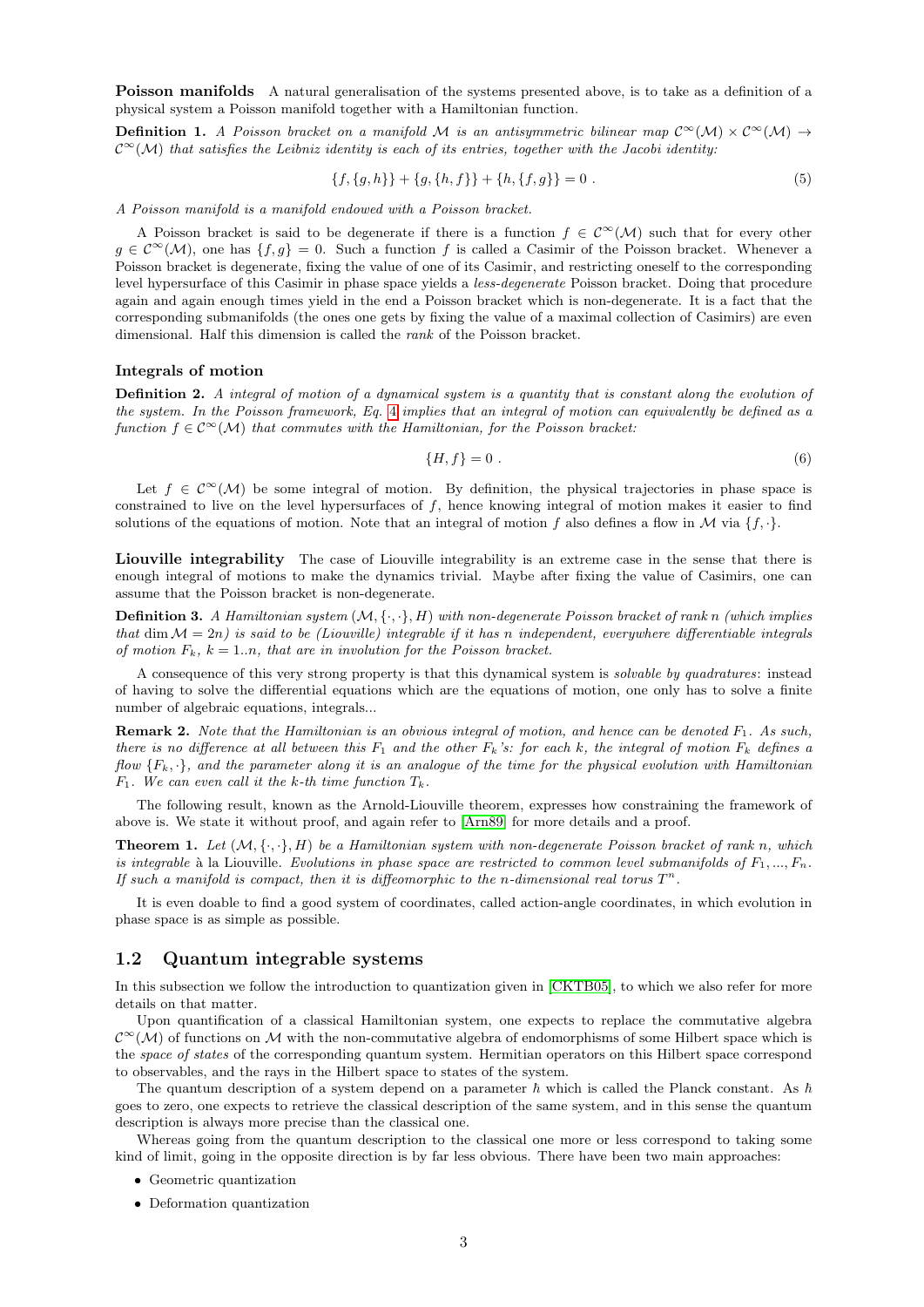Poisson manifolds A natural generalisation of the systems presented above, is to take as a definition of a physical system a Poisson manifold together with a Hamiltonian function.

**Definition 1.** A Poisson bracket on a manifold M is an antisymmetric bilinear map  $C^{\infty}(\mathcal{M}) \times C^{\infty}(\mathcal{M}) \rightarrow$  $\mathcal{C}^{\infty}(\mathcal{M})$  that satisfies the Leibniz identity is each of its entries, together with the Jacobi identity:

$$
\{f, \{g, h\}\} + \{g, \{h, f\}\} + \{h, \{f, g\}\} = 0.
$$
\n<sup>(5)</sup>

A Poisson manifold is a manifold endowed with a Poisson bracket.

A Poisson bracket is said to be degenerate if there is a function  $f \in C^{\infty}(\mathcal{M})$  such that for every other  $g \in C^{\infty}(\mathcal{M})$ , one has  $\{f, g\} = 0$ . Such a function f is called a Casimir of the Poisson bracket. Whenever a Poisson bracket is degenerate, fixing the value of one of its Casimir, and restricting oneself to the corresponding level hypersurface of this Casimir in phase space yields a less-degenerate Poisson bracket. Doing that procedure again and again enough times yield in the end a Poisson bracket which is non-degenerate. It is a fact that the corresponding submanifolds (the ones one gets by fixing the value of a maximal collection of Casimirs) are even dimensional. Half this dimension is called the rank of the Poisson bracket.

#### Integrals of motion

Definition 2. A integral of motion of a dynamical system is a quantity that is constant along the evolution of the system. In the Poisson framework, Eq. [4](#page-1-0) implies that an integral of motion can equivalently be defined as a function  $f \in \mathcal{C}^{\infty}(\mathcal{M})$  that commutes with the Hamiltonian, for the Poisson bracket:

$$
\{H, f\} = 0 \tag{6}
$$

Let  $f \in \mathcal{C}^{\infty}(\mathcal{M})$  be some integral of motion. By definition, the physical trajectories in phase space is constrained to live on the level hypersurfaces of f, hence knowing integral of motion makes it easier to find solutions of the equations of motion. Note that an integral of motion f also defines a flow in  $\mathcal M$  via  $\{f, \cdot\}$ .

Liouville integrability The case of Liouville integrability is an extreme case in the sense that there is enough integral of motions to make the dynamics trivial. Maybe after fixing the value of Casimirs, one can assume that the Poisson bracket is non-degenerate.

**Definition 3.** A Hamiltonian system  $(M, \{\cdot, \cdot\}, H)$  with non-degenerate Poisson bracket of rank n (which implies that dim  $\mathcal{M} = 2n$ ) is said to be (Liouville) integrable if it has n independent, everywhere differentiable integrals of motion  $F_k$ ,  $k = 1..n$ , that are in involution for the Poisson bracket.

A consequence of this very strong property is that this dynamical system is solvable by quadratures: instead of having to solve the differential equations which are the equations of motion, one only has to solve a finite number of algebraic equations, integrals...

**Remark 2.** Note that the Hamiltonian is an obvious integral of motion, and hence can be denoted  $F_1$ . As such, there is no difference at all between this  $F_1$  and the other  $F_k$ 's: for each k, the integral of motion  $F_k$  defines a flow  ${F_k, \cdot}$ , and the parameter along it is an analogue of the time for the physical evolution with Hamiltonian  $F_1$ . We can even call it the k-th time function  $T_k$ .

The following result, known as the Arnold-Liouville theorem, expresses how constraining the framework of above is. We state it without proof, and again refer to [\[Arn89\]](#page-22-1) for more details and a proof.

**Theorem 1.** Let  $(M, \{\cdot, \cdot\}, H)$  be a Hamiltonian system with non-degenerate Poisson bracket of rank n, which is integrable à la Liouville. Evolutions in phase space are restricted to common level submanifolds of  $F_1, ..., F_n$ . If such a manifold is compact, then it is diffeomorphic to the n-dimensional real torus  $T^n$ .

It is even doable to find a good system of coordinates, called action-angle coordinates, in which evolution in phase space is as simple as possible.

# <span id="page-2-0"></span>1.2 Quantum integrable systems

In this subsection we follow the introduction to quantization given in [\[CKTB05\]](#page-22-2), to which we also refer for more details on that matter.

Upon quantification of a classical Hamiltonian system, one expects to replace the commutative algebra  $\mathcal{C}^{\infty}(\mathcal{M})$  of functions on M with the non-commutative algebra of endomorphisms of some Hilbert space which is the space of states of the corresponding quantum system. Hermitian operators on this Hilbert space correspond to observables, and the rays in the Hilbert space to states of the system.

The quantum description of a system depend on a parameter  $\hbar$  which is called the Planck constant. As  $\hbar$ goes to zero, one expects to retrieve the classical description of the same system, and in this sense the quantum description is always more precise than the classical one.

Whereas going from the quantum description to the classical one more or less correspond to taking some kind of limit, going in the opposite direction is by far less obvious. There have been two main approaches:

- Geometric quantization
- Deformation quantization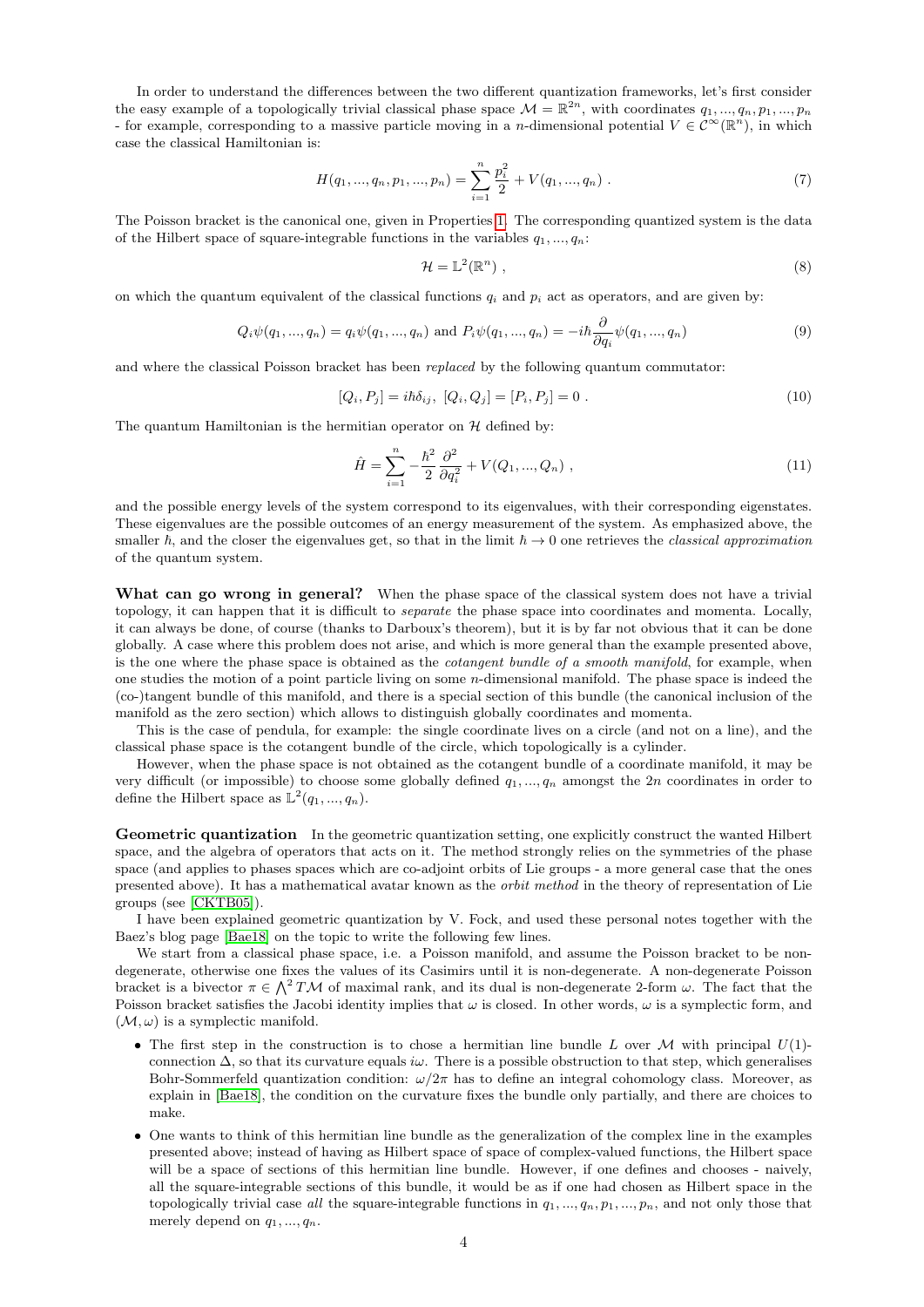In order to understand the differences between the two different quantization frameworks, let's first consider the easy example of a topologically trivial classical phase space  $\mathcal{M} = \mathbb{R}^{2n}$ , with coordinates  $q_1, ..., q_n, p_1, ..., p_n$ - for example, corresponding to a massive particle moving in a *n*-dimensional potential  $V \in C^{\infty}(\mathbb{R}^n)$ , in which case the classical Hamiltonian is:

$$
H(q_1, ..., q_n, p_1, ..., p_n) = \sum_{i=1}^{n} \frac{p_i^2}{2} + V(q_1, ..., q_n) . \tag{7}
$$

The Poisson bracket is the canonical one, given in Properties [1.](#page-1-1) The corresponding quantized system is the data of the Hilbert space of square-integrable functions in the variables  $q_1, ..., q_n$ :

$$
\mathcal{H} = \mathbb{L}^2(\mathbb{R}^n) \tag{8}
$$

on which the quantum equivalent of the classical functions  $q_i$  and  $p_i$  act as operators, and are given by:

$$
Q_i \psi(q_1, ..., q_n) = q_i \psi(q_1, ..., q_n) \text{ and } P_i \psi(q_1, ..., q_n) = -i\hbar \frac{\partial}{\partial q_i} \psi(q_1, ..., q_n)
$$
(9)

and where the classical Poisson bracket has been replaced by the following quantum commutator:

$$
[Q_i, P_j] = i\hbar \delta_{ij}, \ [Q_i, Q_j] = [P_i, P_j] = 0 \ . \tag{10}
$$

The quantum Hamiltonian is the hermitian operator on  $H$  defined by:

$$
\hat{H} = \sum_{i=1}^{n} -\frac{\hbar^2}{2} \frac{\partial^2}{\partial q_i^2} + V(Q_1, ..., Q_n) ,
$$
\n(11)

and the possible energy levels of the system correspond to its eigenvalues, with their corresponding eigenstates. These eigenvalues are the possible outcomes of an energy measurement of the system. As emphasized above, the smaller  $\hbar$ , and the closer the eigenvalues get, so that in the limit  $\hbar \to 0$  one retrieves the classical approximation of the quantum system.

What can go wrong in general? When the phase space of the classical system does not have a trivial topology, it can happen that it is difficult to *separate* the phase space into coordinates and momenta. Locally, it can always be done, of course (thanks to Darboux's theorem), but it is by far not obvious that it can be done globally. A case where this problem does not arise, and which is more general than the example presented above, is the one where the phase space is obtained as the cotangent bundle of a smooth manifold, for example, when one studies the motion of a point particle living on some n-dimensional manifold. The phase space is indeed the (co-)tangent bundle of this manifold, and there is a special section of this bundle (the canonical inclusion of the manifold as the zero section) which allows to distinguish globally coordinates and momenta.

This is the case of pendula, for example: the single coordinate lives on a circle (and not on a line), and the classical phase space is the cotangent bundle of the circle, which topologically is a cylinder.

However, when the phase space is not obtained as the cotangent bundle of a coordinate manifold, it may be very difficult (or impossible) to choose some globally defined  $q_1, ..., q_n$  amongst the  $2n$  coordinates in order to define the Hilbert space as  $\mathbb{L}^2(q_1, ..., q_n)$ .

Geometric quantization In the geometric quantization setting, one explicitly construct the wanted Hilbert space, and the algebra of operators that acts on it. The method strongly relies on the symmetries of the phase space (and applies to phases spaces which are co-adjoint orbits of Lie groups - a more general case that the ones presented above). It has a mathematical avatar known as the orbit method in the theory of representation of Lie groups (see [\[CKTB05\]](#page-22-2)).

I have been explained geometric quantization by V. Fock, and used these personal notes together with the Baez's blog page [\[Bae18\]](#page-22-3) on the topic to write the following few lines.

We start from a classical phase space, i.e. a Poisson manifold, and assume the Poisson bracket to be nondegenerate, otherwise one fixes the values of its Casimirs until it is non-degenerate. A non-degenerate Poisson bracket is a bivector  $\pi \in \bigwedge^2 T\mathcal{M}$  of maximal rank, and its dual is non-degenerate 2-form  $\omega$ . The fact that the Poisson bracket satisfies the Jacobi identity implies that  $\omega$  is closed. In other words,  $\omega$  is a symplectic form, and  $(\mathcal{M}, \omega)$  is a symplectic manifold.

- The first step in the construction is to chose a hermitian line bundle L over M with principal  $U(1)$ connection  $\Delta$ , so that its curvature equals  $i\omega$ . There is a possible obstruction to that step, which generalises Bohr-Sommerfeld quantization condition:  $\omega/2\pi$  has to define an integral cohomology class. Moreover, as explain in [\[Bae18\]](#page-22-3), the condition on the curvature fixes the bundle only partially, and there are choices to make.
- One wants to think of this hermitian line bundle as the generalization of the complex line in the examples presented above; instead of having as Hilbert space of space of complex-valued functions, the Hilbert space will be a space of sections of this hermitian line bundle. However, if one defines and chooses - naively, all the square-integrable sections of this bundle, it would be as if one had chosen as Hilbert space in the topologically trivial case all the square-integrable functions in  $q_1, ..., q_n, p_1, ..., p_n$ , and not only those that merely depend on  $q_1, ..., q_n$ .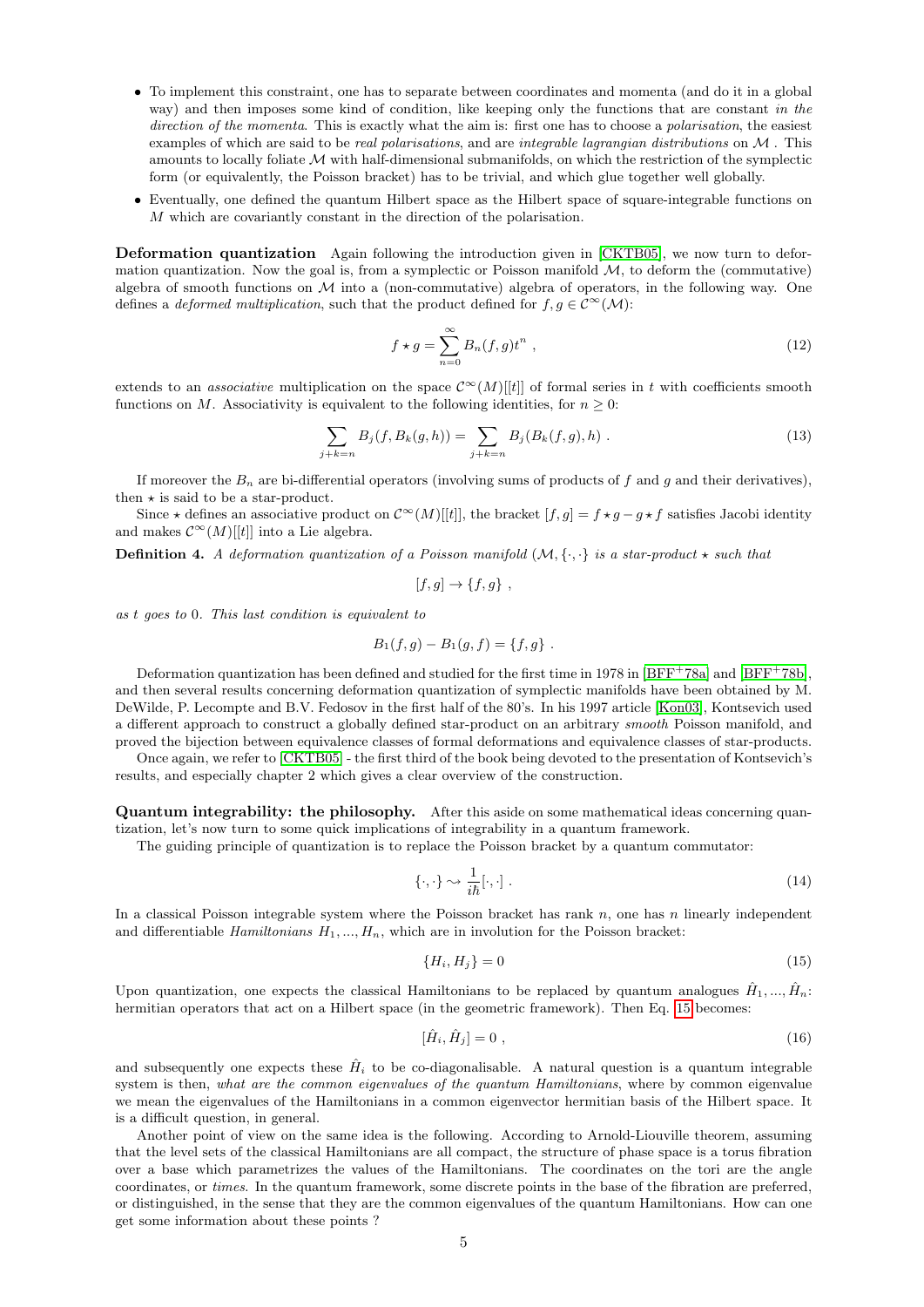- To implement this constraint, one has to separate between coordinates and momenta (and do it in a global way) and then imposes some kind of condition, like keeping only the functions that are constant in the direction of the momenta. This is exactly what the aim is: first one has to choose a polarisation, the easiest examples of which are said to be *real polarisations*, and are *integrable lagrangian distributions* on  $M$ . This amounts to locally foliate  $M$  with half-dimensional submanifolds, on which the restriction of the symplectic form (or equivalently, the Poisson bracket) has to be trivial, and which glue together well globally.
- Eventually, one defined the quantum Hilbert space as the Hilbert space of square-integrable functions on M which are covariantly constant in the direction of the polarisation.

Deformation quantization Again following the introduction given in [\[CKTB05\]](#page-22-2), we now turn to deformation quantization. Now the goal is, from a symplectic or Poisson manifold  $M$ , to deform the (commutative) algebra of smooth functions on  $M$  into a (non-commutative) algebra of operators, in the following way. One defines a *deformed multiplication*, such that the product defined for  $f, g \in C^{\infty}(\mathcal{M})$ :

$$
f \star g = \sum_{n=0}^{\infty} B_n(f, g) t^n , \qquad (12)
$$

extends to an *associative* multiplication on the space  $\mathcal{C}^{\infty}(M)[t]$  of formal series in t with coefficients smooth functions on M. Associativity is equivalent to the following identities, for  $n \geq 0$ :

$$
\sum_{j+k=n} B_j(f, B_k(g, h)) = \sum_{j+k=n} B_j(B_k(f, g), h) . \tag{13}
$$

If moreover the  $B_n$  are bi-differential operators (involving sums of products of f and g and their derivatives), then  $\star$  is said to be a star-product.

Since  $\star$  defines an associative product on  $\mathcal{C}^{\infty}(M)[t]$ , the bracket  $[f,g] = f \star g - g \star f$  satisfies Jacobi identity and makes  $\mathcal{C}^{\infty}(M)[[t]]$  into a Lie algebra.

**Definition 4.** A deformation quantization of a Poisson manifold  $(M, \{\cdot,\cdot\})$  is a star-product  $\star$  such that

$$
[f,g] \to \{f,g\} ,
$$

as t goes to 0. This last condition is equivalent to

$$
B_1(f,g) - B_1(g,f) = \{f,g\} .
$$

Deformation quantization has been defined and studied for the first time in 1978 in  $[BFF^+78a]$  and  $[BFF^+78b]$ , and then several results concerning deformation quantization of symplectic manifolds have been obtained by M. DeWilde, P. Lecompte and B.V. Fedosov in the first half of the 80's. In his 1997 article [\[Kon03\]](#page-22-6), Kontsevich used a different approach to construct a globally defined star-product on an arbitrary smooth Poisson manifold, and proved the bijection between equivalence classes of formal deformations and equivalence classes of star-products.

Once again, we refer to [\[CKTB05\]](#page-22-2) - the first third of the book being devoted to the presentation of Kontsevich's results, and especially chapter 2 which gives a clear overview of the construction.

Quantum integrability: the philosophy. After this aside on some mathematical ideas concerning quantization, let's now turn to some quick implications of integrability in a quantum framework.

The guiding principle of quantization is to replace the Poisson bracket by a quantum commutator:

$$
\{\cdot,\cdot\} \sim \frac{1}{i\hbar}[\cdot,\cdot] \tag{14}
$$

In a classical Poisson integrable system where the Poisson bracket has rank  $n$ , one has n linearly independent and differentiable Hamiltonians  $H_1, ..., H_n$ , which are in involution for the Poisson bracket:

<span id="page-4-0"></span>
$$
\{H_i, H_j\} = 0\tag{15}
$$

Upon quantization, one expects the classical Hamiltonians to be replaced by quantum analogues  $\hat{H}_1, ..., \hat{H}_n$ : hermitian operators that act on a Hilbert space (in the geometric framework). Then Eq. [15](#page-4-0) becomes:

$$
[\hat{H}_i, \hat{H}_j] = 0 \tag{16}
$$

and subsequently one expects these  $\hat{H}_i$  to be co-diagonalisable. A natural question is a quantum integrable system is then, what are the common eigenvalues of the quantum Hamiltonians, where by common eigenvalue we mean the eigenvalues of the Hamiltonians in a common eigenvector hermitian basis of the Hilbert space. It is a difficult question, in general.

Another point of view on the same idea is the following. According to Arnold-Liouville theorem, assuming that the level sets of the classical Hamiltonians are all compact, the structure of phase space is a torus fibration over a base which parametrizes the values of the Hamiltonians. The coordinates on the tori are the angle coordinates, or times. In the quantum framework, some discrete points in the base of the fibration are preferred, or distinguished, in the sense that they are the common eigenvalues of the quantum Hamiltonians. How can one get some information about these points ?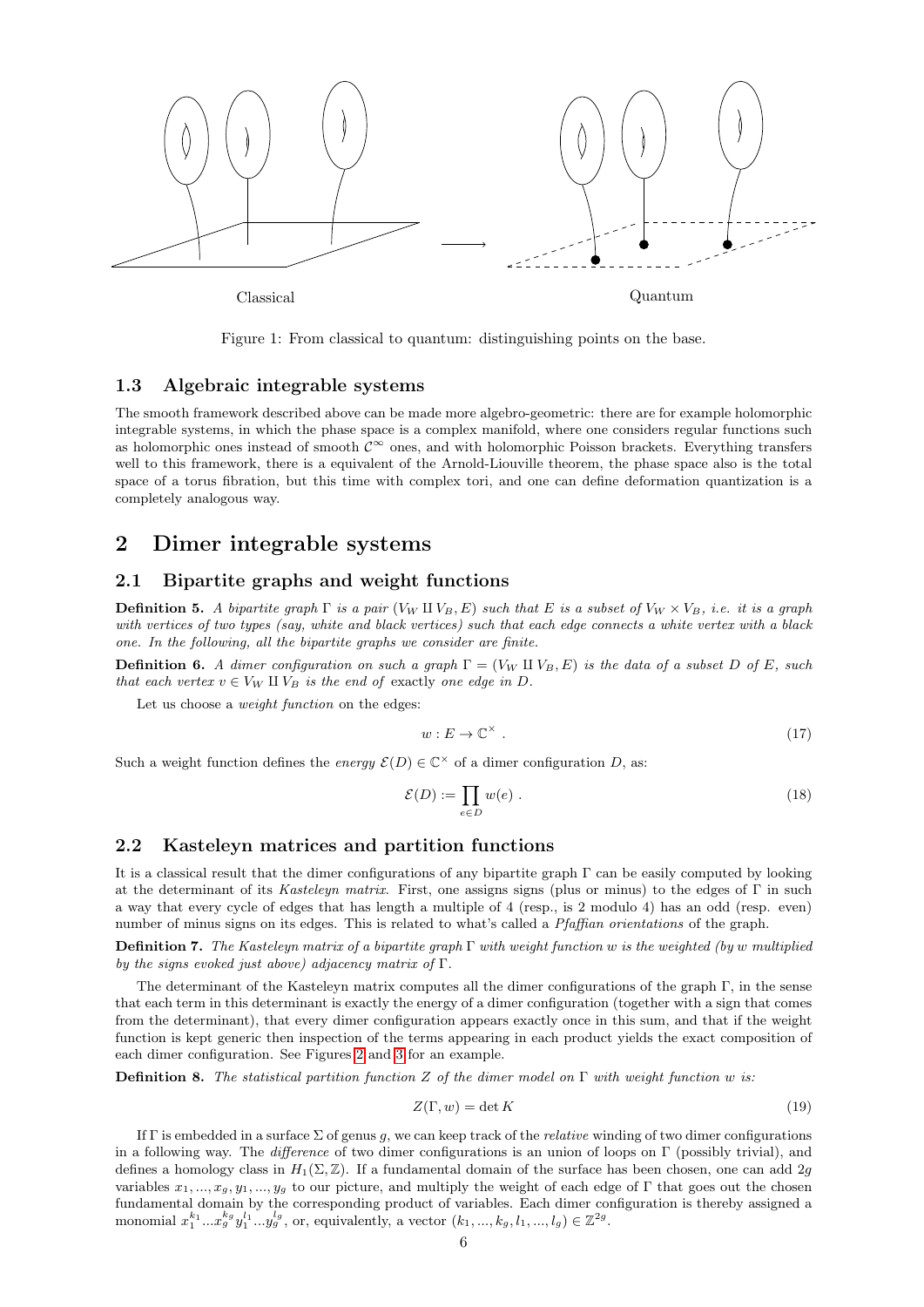

Figure 1: From classical to quantum: distinguishing points on the base.

## <span id="page-5-0"></span>1.3 Algebraic integrable systems

The smooth framework described above can be made more algebro-geometric: there are for example holomorphic integrable systems, in which the phase space is a complex manifold, where one considers regular functions such as holomorphic ones instead of smooth  $\mathcal{C}^{\infty}$  ones, and with holomorphic Poisson brackets. Everything transfers well to this framework, there is a equivalent of the Arnold-Liouville theorem, the phase space also is the total space of a torus fibration, but this time with complex tori, and one can define deformation quantization is a completely analogous way.

# <span id="page-5-1"></span>2 Dimer integrable systems

## <span id="page-5-2"></span>2.1 Bipartite graphs and weight functions

**Definition 5.** A bipartite graph  $\Gamma$  is a pair  $(V_W \amalg V_B, E)$  such that E is a subset of  $V_W \times V_B$ , i.e. it is a graph with vertices of two types (say, white and black vertices) such that each edge connects a white vertex with a black one. In the following, all the bipartite graphs we consider are finite.

**Definition 6.** A dimer configuration on such a graph  $\Gamma = (V_W \amalg V_B, E)$  is the data of a subset D of E, such that each vertex  $v \in V_W \amalg V_B$  is the end of exactly one edge in D.

Let us choose a weight function on the edges:

$$
w: E \to \mathbb{C}^\times \tag{17}
$$

Such a weight function defines the energy  $\mathcal{E}(D) \in \mathbb{C}^\times$  of a dimer configuration D, as:

$$
\mathcal{E}(D) := \prod_{e \in D} w(e) \tag{18}
$$

## <span id="page-5-3"></span>2.2 Kasteleyn matrices and partition functions

It is a classical result that the dimer configurations of any bipartite graph Γ can be easily computed by looking at the determinant of its Kasteleyn matrix. First, one assigns signs (plus or minus) to the edges of  $\Gamma$  in such a way that every cycle of edges that has length a multiple of 4 (resp., is 2 modulo 4) has an odd (resp. even) number of minus signs on its edges. This is related to what's called a Pfaffian orientations of the graph.

**Definition 7.** The Kasteleyn matrix of a bipartite graph  $\Gamma$  with weight function w is the weighted (by w multiplied by the signs evoked just above) adjacency matrix of  $\Gamma$ .

The determinant of the Kasteleyn matrix computes all the dimer configurations of the graph  $\Gamma$ , in the sense that each term in this determinant is exactly the energy of a dimer configuration (together with a sign that comes from the determinant), that every dimer configuration appears exactly once in this sum, and that if the weight function is kept generic then inspection of the terms appearing in each product yields the exact composition of each dimer configuration. See Figures [2](#page-6-0) and [3](#page-6-1) for an example.

**Definition 8.** The statistical partition function Z of the dimer model on  $\Gamma$  with weight function w is:

$$
Z(\Gamma, w) = \det K \tag{19}
$$

If  $\Gamma$  is embedded in a surface  $\Sigma$  of genus g, we can keep track of the *relative* winding of two dimer configurations in a following way. The *difference* of two dimer configurations is an union of loops on  $\Gamma$  (possibly trivial), and defines a homology class in  $H_1(\Sigma, \mathbb{Z})$ . If a fundamental domain of the surface has been chosen, one can add 2g variables  $x_1, ..., x_q, y_1, ..., y_q$  to our picture, and multiply the weight of each edge of Γ that goes out the chosen fundamental domain by the corresponding product of variables. Each dimer configuration is thereby assigned a monomial  $x_1^{k_1}...x_g^{k_g}y_1^{l_1}...y_g^{l_g}$ , or, equivalently, a vector  $(k_1, ..., k_g, l_1, ..., l_g) \in \mathbb{Z}^{2g}$ .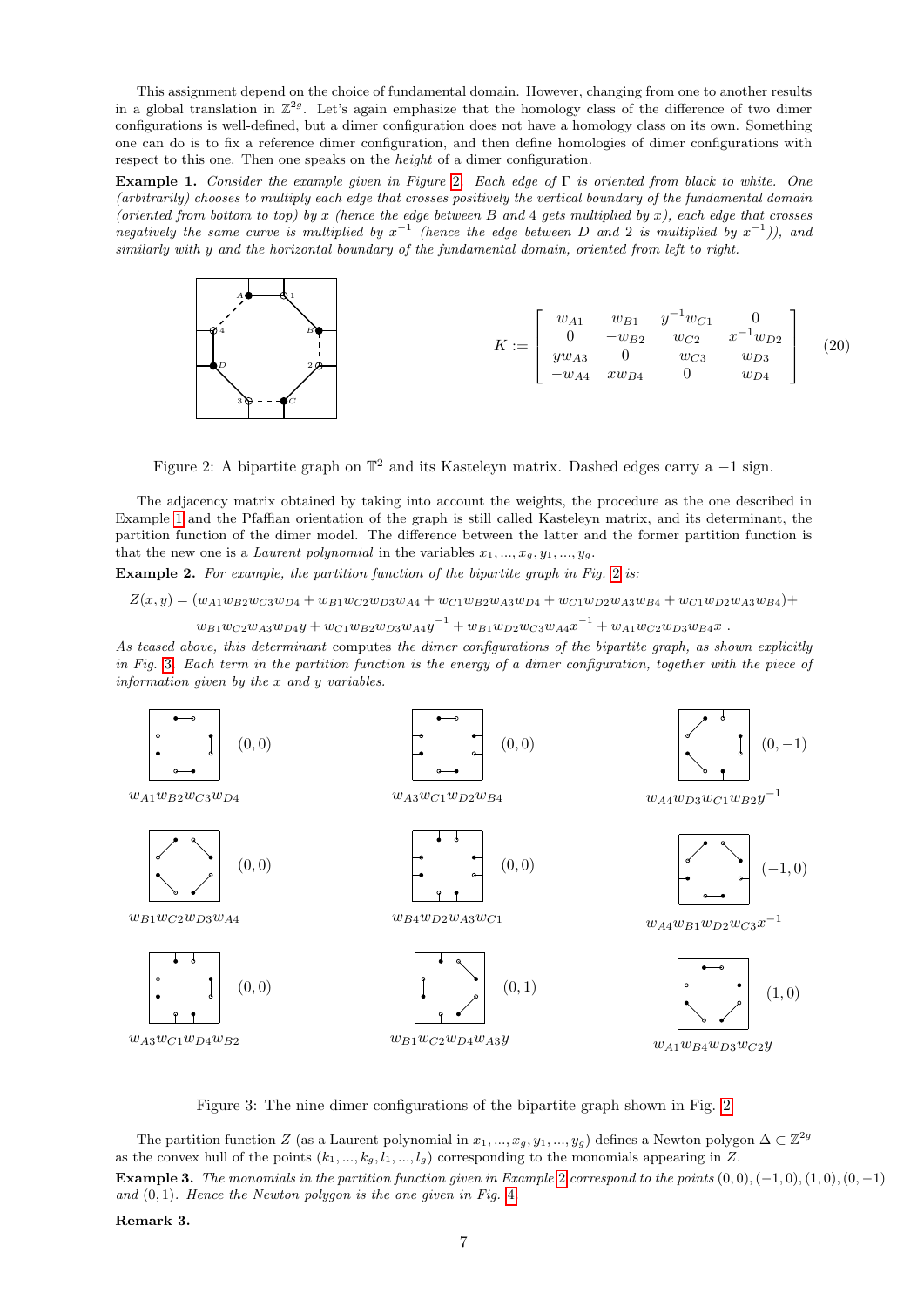This assignment depend on the choice of fundamental domain. However, changing from one to another results in a global translation in  $\mathbb{Z}^{2g}$ . Let's again emphasize that the homology class of the difference of two dimer configurations is well-defined, but a dimer configuration does not have a homology class on its own. Something one can do is to fix a reference dimer configuration, and then define homologies of dimer configurations with respect to this one. Then one speaks on the *height* of a dimer configuration.

<span id="page-6-2"></span>Example 1. Consider the example given in Figure [2](#page-6-0). Each edge of Γ is oriented from black to white. One (arbitrarily) chooses to multiply each edge that crosses positively the vertical boundary of the fundamental domain (oriented from bottom to top) by x (hence the edge between B and 4 gets multiplied by x), each edge that crosses negatively the same curve is multiplied by  $x^{-1}$  (hence the edge between D and 2 is multiplied by  $x^{-1}$ )), and similarly with y and the horizontal boundary of the fundamental domain, oriented from left to right.



<span id="page-6-0"></span>Figure 2: A bipartite graph on  $\mathbb{T}^2$  and its Kasteleyn matrix. Dashed edges carry a -1 sign.

The adjacency matrix obtained by taking into account the weights, the procedure as the one described in Example [1](#page-6-2) and the Pfaffian orientation of the graph is still called Kasteleyn matrix, and its determinant, the partition function of the dimer model. The difference between the latter and the former partition function is that the new one is a *Laurent polynomial* in the variables  $x_1, ..., x_q, y_1, ..., y_q$ .

<span id="page-6-3"></span>Example [2](#page-6-0). For example, the partition function of the bipartite graph in Fig. 2 is:

$$
Z(x,y) = (w_{A1}w_{B2}w_{C3}w_{D4} + w_{B1}w_{C2}w_{D3}w_{A4} + w_{C1}w_{B2}w_{A3}w_{D4} + w_{C1}w_{D2}w_{A3}w_{B4} + w_{C1}w_{D2}w_{A3}w_{B4}) +
$$
  
\n
$$
w_{B1}w_{C2}w_{A3}w_{D4}y + w_{C1}w_{B2}w_{D3}w_{A4}y^{-1} + w_{B1}w_{D2}w_{C3}w_{A4}x^{-1} + w_{A1}w_{C2}w_{D3}w_{B4}x
$$
.

As teased above, this determinant computes the dimer configurations of the bipartite graph, as shown explicitly in Fig. [3](#page-6-1). Each term in the partition function is the energy of a dimer configuration, together with the piece of information given by the x and y variables.



<span id="page-6-1"></span>Figure 3: The nine dimer configurations of the bipartite graph shown in Fig. [2](#page-6-0)

The partition function Z (as a Laurent polynomial in  $x_1, ..., x_g, y_1, ..., y_g$ ) defines a Newton polygon  $\Delta \subset \mathbb{Z}^{2g}$ as the convex hull of the points  $(k_1, ..., k_g, l_1, ..., l_g)$  corresponding to the monomials appearing in Z. Example 3. The monomials in the partition function given in Example [2](#page-6-3) correspond to the points  $(0,0), (-1,0), (1,0), (0, -1)$ and  $(0, 1)$ . Hence the Newton polygon is the one given in Fig. [4](#page-7-1).

Remark 3.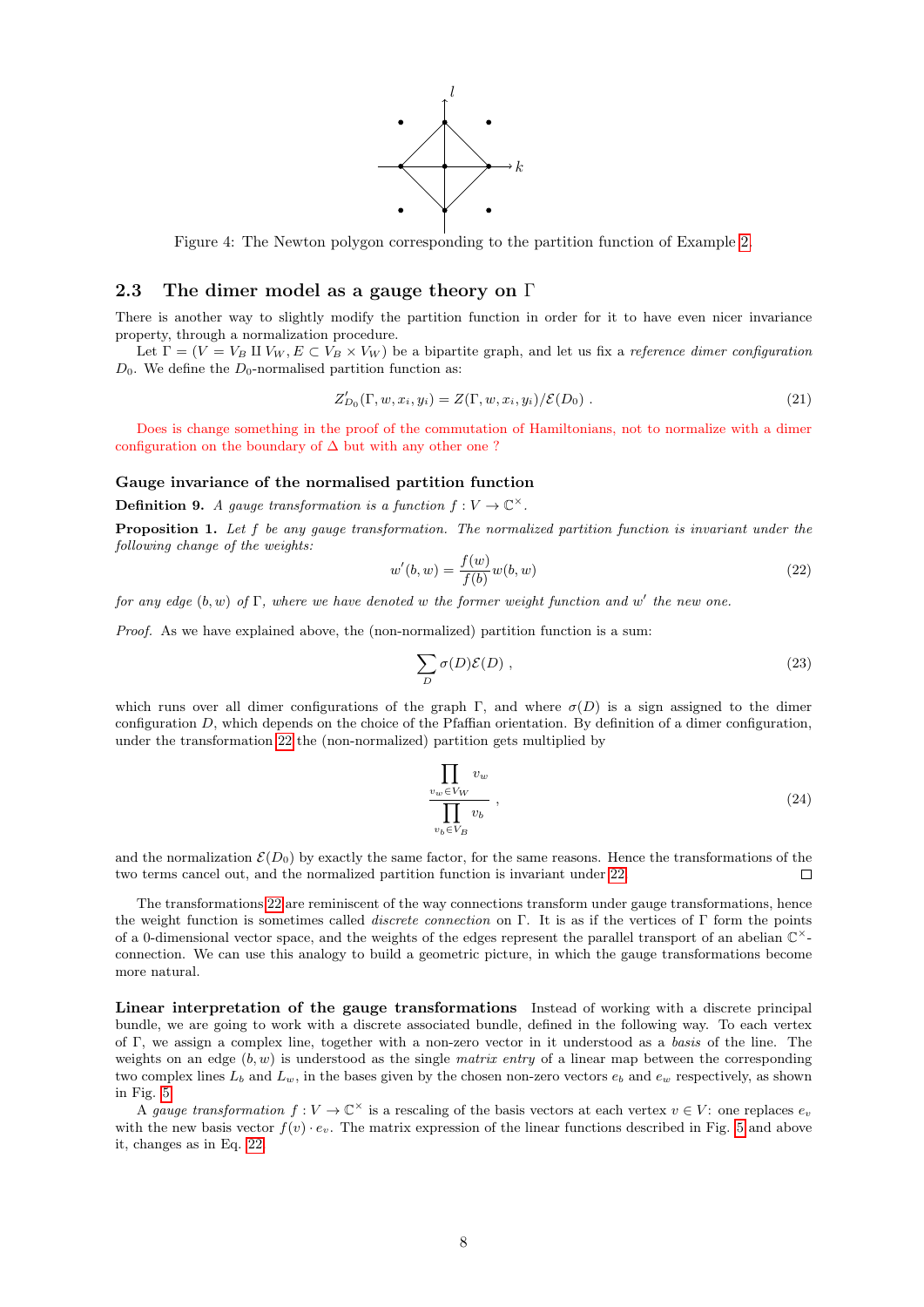

<span id="page-7-1"></span>Figure 4: The Newton polygon corresponding to the partition function of Example [2.](#page-6-3)

# <span id="page-7-0"></span>2.3 The dimer model as a gauge theory on  $\Gamma$

There is another way to slightly modify the partition function in order for it to have even nicer invariance property, through a normalization procedure.

Let  $\Gamma = (V = V_B \amalg V_W, E \subset V_B \times V_W)$  be a bipartite graph, and let us fix a *reference dimer configuration*  $D_0$ . We define the  $D_0$ -normalised partition function as:

$$
Z'_{D_0}(\Gamma, w, x_i, y_i) = Z(\Gamma, w, x_i, y_i) / \mathcal{E}(D_0).
$$
\n
$$
(21)
$$

Does is change something in the proof of the commutation of Hamiltonians, not to normalize with a dimer configuration on the boundary of  $\Delta$  but with any other one ?

#### Gauge invariance of the normalised partition function

**Definition 9.** A gauge transformation is a function  $f: V \to \mathbb{C}^{\times}$ .

Proposition 1. Let f be any gauge transformation. The normalized partition function is invariant under the following change of the weights:

<span id="page-7-2"></span>
$$
w'(b, w) = \frac{f(w)}{f(b)} w(b, w)
$$
\n(22)

for any edge  $(b, w)$  of  $\Gamma$ , where we have denoted w the former weight function and w' the new one.

Proof. As we have explained above, the (non-normalized) partition function is a sum:

$$
\sum_{D} \sigma(D)\mathcal{E}(D) , \qquad (23)
$$

which runs over all dimer configurations of the graph Γ, and where  $\sigma(D)$  is a sign assigned to the dimer configuration D, which depends on the choice of the Pfaffian orientation. By definition of a dimer configuration, under the transformation [22](#page-7-2) the (non-normalized) partition gets multiplied by

$$
\frac{\prod_{v_w \in V_W} v_w}{\prod_{v_b \in V_B} v_b},
$$
\n(24)

and the normalization  $\mathcal{E}(D_0)$  by exactly the same factor, for the same reasons. Hence the transformations of the two terms cancel out, and the normalized partition function is invariant under [22.](#page-7-2)  $\Box$ 

The transformations [22](#page-7-2) are reminiscent of the way connections transform under gauge transformations, hence the weight function is sometimes called discrete connection on Γ. It is as if the vertices of Γ form the points of a 0-dimensional vector space, and the weights of the edges represent the parallel transport of an abelian  $\mathbb{C}^{\times}$ connection. We can use this analogy to build a geometric picture, in which the gauge transformations become more natural.

Linear interpretation of the gauge transformations Instead of working with a discrete principal bundle, we are going to work with a discrete associated bundle, defined in the following way. To each vertex of Γ, we assign a complex line, together with a non-zero vector in it understood as a basis of the line. The weights on an edge  $(b, w)$  is understood as the single matrix entry of a linear map between the corresponding two complex lines  $L_b$  and  $L_w$ , in the bases given by the chosen non-zero vectors  $e_b$  and  $e_w$  respectively, as shown in Fig. [5.](#page-8-1)

A gauge transformation  $f: V \to \mathbb{C}^\times$  is a rescaling of the basis vectors at each vertex  $v \in V$ : one replaces  $e_v$ with the new basis vector  $f(v) \cdot e_v$ . The matrix expression of the linear functions described in Fig. [5](#page-8-1) and above it, changes as in Eq. [22.](#page-7-2)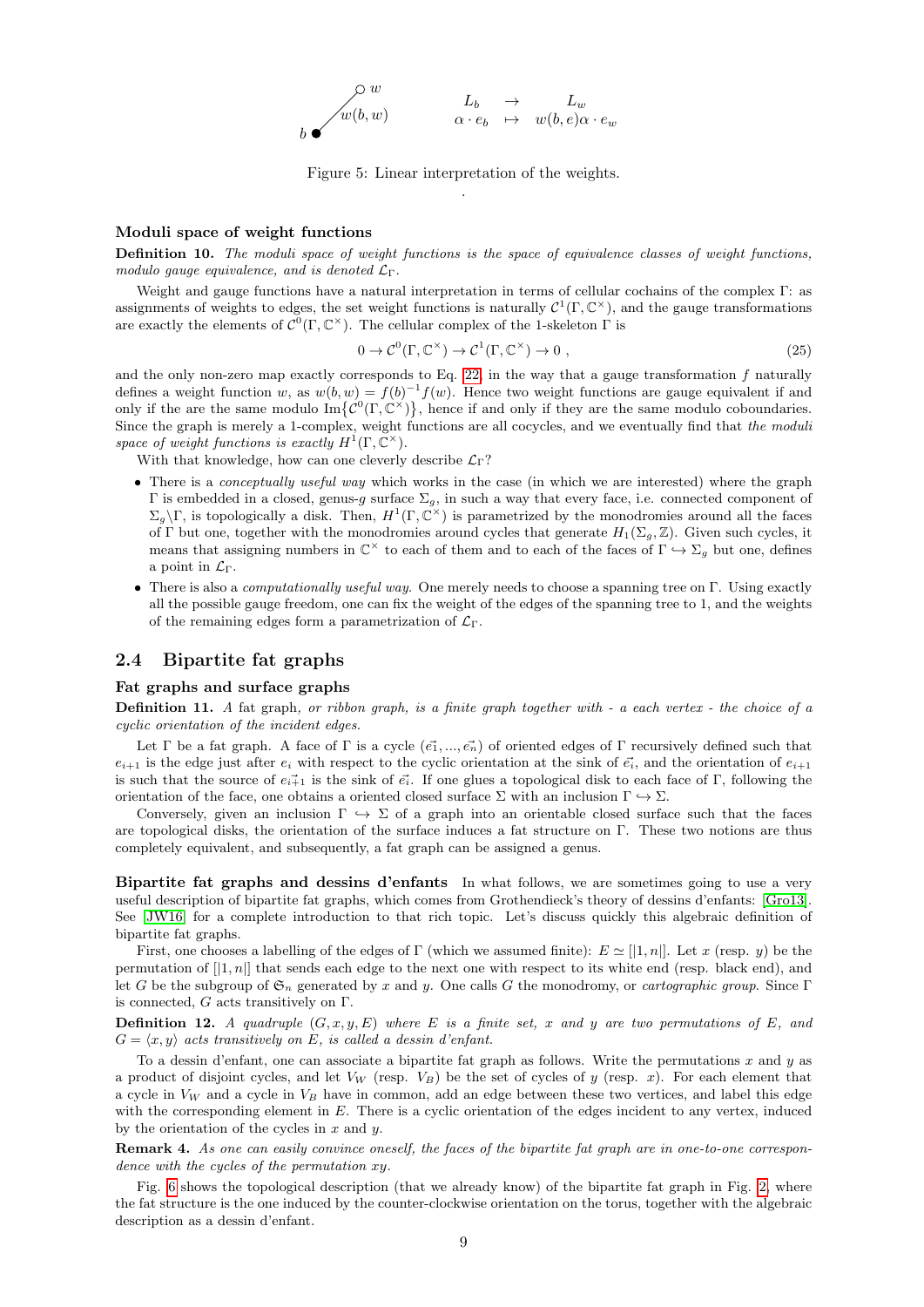$$
\begin{array}{ccc}\n\circ & w & & L_b & \to & L_w \\
\downarrow w(b, w) & & \alpha \cdot e_b & \mapsto & w(b, e)\alpha \cdot e_w\n\end{array}
$$

<span id="page-8-1"></span>Figure 5: Linear interpretation of the weights. .

#### Moduli space of weight functions

Definition 10. The moduli space of weight functions is the space of equivalence classes of weight functions, modulo gauge equivalence, and is denoted  $\mathcal{L}_{\Gamma}$ .

Weight and gauge functions have a natural interpretation in terms of cellular cochains of the complex Γ: as assignments of weights to edges, the set weight functions is naturally  $C^1(\Gamma, \mathbb{C}^\times)$ , and the gauge transformations are exactly the elements of  $C^0(\Gamma, \mathbb{C}^\times)$ . The cellular complex of the 1-skeleton  $\Gamma$  is

$$
0 \to \mathcal{C}^0(\Gamma, \mathbb{C}^\times) \to \mathcal{C}^1(\Gamma, \mathbb{C}^\times) \to 0 , \qquad (25)
$$

and the only non-zero map exactly corresponds to Eq. [22,](#page-7-2) in the way that a gauge transformation f naturally defines a weight function w, as  $w(b, w) = f(b)^{-1}f(w)$ . Hence two weight functions are gauge equivalent if and only if the are the same modulo  $\text{Im}\{\mathcal{C}^0(\Gamma,\mathbb{C}^{\times})\}\$ , hence if and only if they are the same modulo coboundaries. Since the graph is merely a 1-complex, weight functions are all cocycles, and we eventually find that the moduli space of weight functions is exactly  $H^1(\Gamma, \mathbb{C}^\times)$ .

With that knowledge, how can one cleverly describe  $\mathcal{L}_{\Gamma}$ ?

- There is a *conceptually useful way* which works in the case (in which we are interested) where the graph Γ is embedded in a closed, genus-g surface  $\Sigma_g$ , in such a way that every face, i.e. connected component of  $\Sigma_g \backslash \Gamma$ , is topologically a disk. Then,  $H^1(\Gamma, \mathbb{C}^{\times})$  is parametrized by the monodromies around all the faces of Γ but one, together with the monodromies around cycles that generate  $H_1(\Sigma_g, \mathbb{Z})$ . Given such cycles, it means that assigning numbers in  $\mathbb{C}^{\times}$  to each of them and to each of the faces of  $\Gamma \hookrightarrow \Sigma_g$  but one, defines a point in  $\mathcal{L}_{\Gamma}$ .
- There is also a *computationally useful way*. One merely needs to choose a spanning tree on Γ. Using exactly all the possible gauge freedom, one can fix the weight of the edges of the spanning tree to 1, and the weights of the remaining edges form a parametrization of  $\mathcal{L}_{\Gamma}$ .

### <span id="page-8-0"></span>2.4 Bipartite fat graphs

#### Fat graphs and surface graphs

Definition 11. A fat graph, or ribbon graph, is a finite graph together with - a each vertex - the choice of a cyclic orientation of the incident edges.

Let Γ be a fat graph. A face of Γ is a cycle  $(\vec{e_1}, ..., \vec{e_n})$  of oriented edges of Γ recursively defined such that  $e_{i+1}$  is the edge just after  $e_i$  with respect to the cyclic orientation at the sink of  $\vec{e_i}$ , and the orientation of  $e_{i+1}$ is such that the source of  $e_{i+1}$  is the sink of  $\vec{e}_i$ . If one glues a topological disk to each face of Γ, following the orientation of the face, one obtains a oriented closed surface  $\Sigma$  with an inclusion  $\Gamma \hookrightarrow \Sigma$ .

Conversely, given an inclusion  $\Gamma \hookrightarrow \Sigma$  of a graph into an orientable closed surface such that the faces are topological disks, the orientation of the surface induces a fat structure on Γ. These two notions are thus completely equivalent, and subsequently, a fat graph can be assigned a genus.

<span id="page-8-3"></span>Bipartite fat graphs and dessins d'enfants In what follows, we are sometimes going to use a very useful description of bipartite fat graphs, which comes from Grothendieck's theory of dessins d'enfants: [\[Gro13\]](#page-22-7). See [\[JW16\]](#page-22-8) for a complete introduction to that rich topic. Let's discuss quickly this algebraic definition of bipartite fat graphs.

First, one chooses a labelling of the edges of Γ (which we assumed finite):  $E \simeq ||1, n||$ . Let x (resp. y) be the permutation of  $[1, n]$  that sends each edge to the next one with respect to its white end (resp. black end), and let G be the subgroup of  $\mathfrak{S}_n$  generated by x and y. One calls G the monodromy, or cartographic group. Since Γ is connected,  $G$  acts transitively on  $\Gamma$ .

**Definition 12.** A quadruple  $(G, x, y, E)$  where E is a finite set, x and y are two permutations of E, and  $G = \langle x, y \rangle$  acts transitively on E, is called a dessin d'enfant.

To a dessin d'enfant, one can associate a bipartite fat graph as follows. Write the permutations  $x$  and  $y$  as a product of disjoint cycles, and let  $V_W$  (resp.  $V_B$ ) be the set of cycles of y (resp. x). For each element that a cycle in  $V_W$  and a cycle in  $V_B$  have in common, add an edge between these two vertices, and label this edge with the corresponding element in E. There is a cyclic orientation of the edges incident to any vertex, induced by the orientation of the cycles in  $x$  and  $y$ .

<span id="page-8-2"></span>Remark 4. As one can easily convince oneself, the faces of the bipartite fat graph are in one-to-one correspondence with the cycles of the permutation xy.

Fig. [6](#page-9-1) shows the topological description (that we already know) of the bipartite fat graph in Fig. [2,](#page-6-0) where the fat structure is the one induced by the counter-clockwise orientation on the torus, together with the algebraic description as a dessin d'enfant.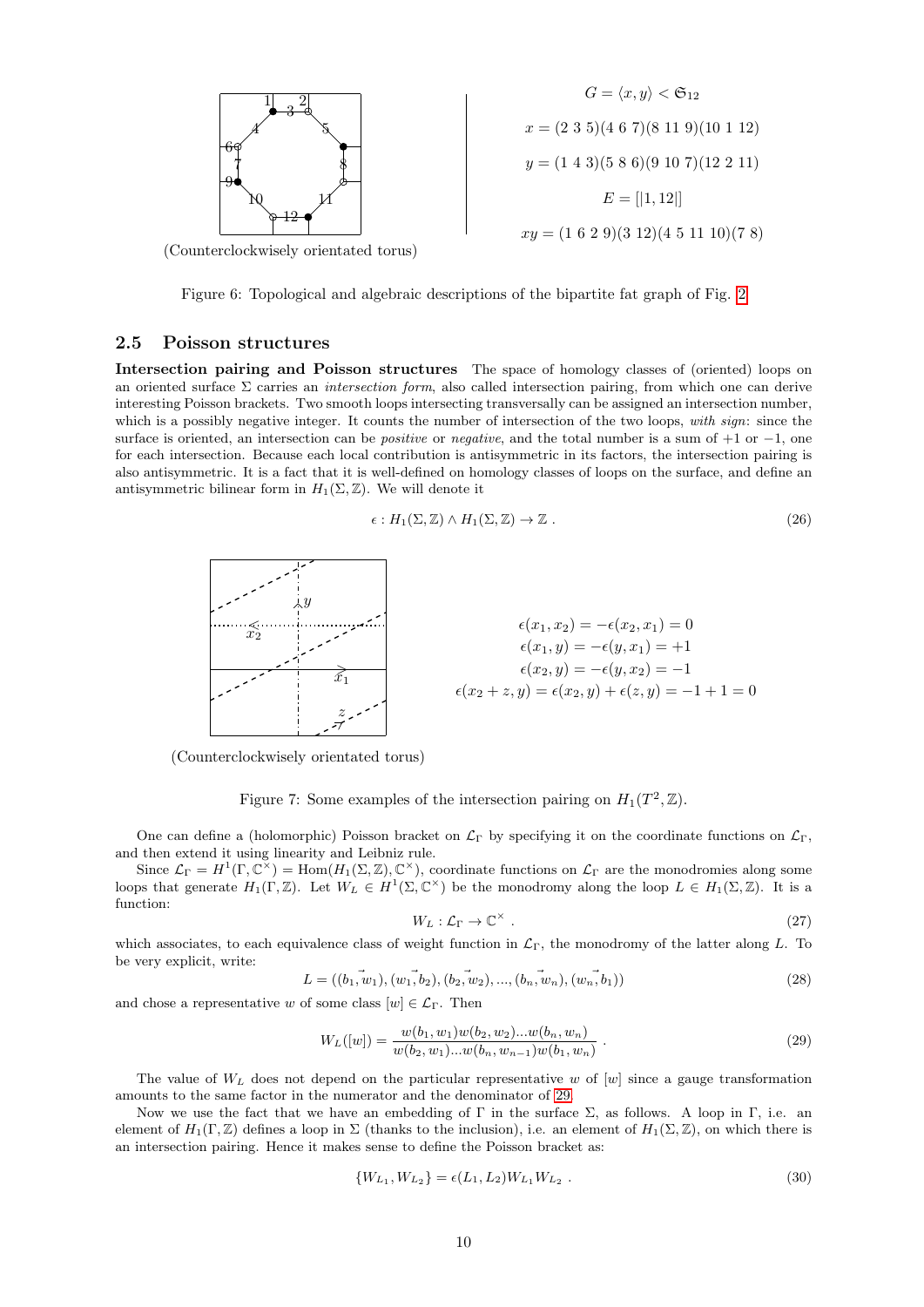

(Counterclockwisely orientated torus)

<span id="page-9-1"></span>Figure 6: Topological and algebraic descriptions of the bipartite fat graph of Fig. [2](#page-6-0)

#### <span id="page-9-0"></span>2.5 Poisson structures

Intersection pairing and Poisson structures The space of homology classes of (oriented) loops on an oriented surface  $\Sigma$  carries an *intersection form*, also called intersection pairing, from which one can derive interesting Poisson brackets. Two smooth loops intersecting transversally can be assigned an intersection number, which is a possibly negative integer. It counts the number of intersection of the two loops, with sign: since the surface is oriented, an intersection can be *positive* or *negative*, and the total number is a sum of  $+1$  or  $-1$ , one for each intersection. Because each local contribution is antisymmetric in its factors, the intersection pairing is also antisymmetric. It is a fact that it is well-defined on homology classes of loops on the surface, and define an antisymmetric bilinear form in  $H_1(\Sigma, \mathbb{Z})$ . We will denote it

$$
\epsilon: H_1(\Sigma, \mathbb{Z}) \wedge H_1(\Sigma, \mathbb{Z}) \to \mathbb{Z} \ . \tag{26}
$$



(Counterclockwisely orientated torus)

Figure 7: Some examples of the intersection pairing on  $H_1(T^2, \mathbb{Z})$ .

One can define a (holomorphic) Poisson bracket on  $\mathcal{L}_{\Gamma}$  by specifying it on the coordinate functions on  $\mathcal{L}_{\Gamma}$ , and then extend it using linearity and Leibniz rule.

Since  $\mathcal{L}_{\Gamma} = H^1(\Gamma, \mathbb{C}^{\times}) = \text{Hom}(H_1(\Sigma, \mathbb{Z}), \mathbb{C}^{\times})$ , coordinate functions on  $\mathcal{L}_{\Gamma}$  are the monodromies along some loops that generate  $H_1(\Gamma, \mathbb{Z})$ . Let  $W_L \in H^1(\Sigma, \mathbb{C}^\times)$  be the monodromy along the loop  $L \in H_1(\Sigma, \mathbb{Z})$ . It is a function:

$$
W_L: \mathcal{L}_\Gamma \to \mathbb{C}^\times \ . \tag{27}
$$

which associates, to each equivalence class of weight function in  $\mathcal{L}_{\Gamma}$ , the monodromy of the latter along L. To be very explicit, write:

$$
L = ((b_1, w_1), (w_1, b_2), (b_2, w_2), ..., (b_n, w_n), (w_n, b_1))
$$
\n(28)

and chose a representative w of some class  $[w] \in \mathcal{L}_{\Gamma}$ . Then

<span id="page-9-2"></span>
$$
W_L([w]) = \frac{w(b_1, w_1)w(b_2, w_2)...w(b_n, w_n)}{w(b_2, w_1)...w(b_n, w_{n-1})w(b_1, w_n)}.
$$
\n(29)

The value of  $W_L$  does not depend on the particular representative w of [w] since a gauge transformation amounts to the same factor in the numerator and the denominator of [29.](#page-9-2)

Now we use the fact that we have an embedding of  $\Gamma$  in the surface  $\Sigma$ , as follows. A loop in  $\Gamma$ , i.e. an element of  $H_1(\Gamma, \mathbb{Z})$  defines a loop in  $\Sigma$  (thanks to the inclusion), i.e. an element of  $H_1(\Sigma, \mathbb{Z})$ , on which there is an intersection pairing. Hence it makes sense to define the Poisson bracket as:

$$
\{W_{L_1}, W_{L_2}\} = \epsilon(L_1, L_2)W_{L_1}W_{L_2} .
$$
\n(30)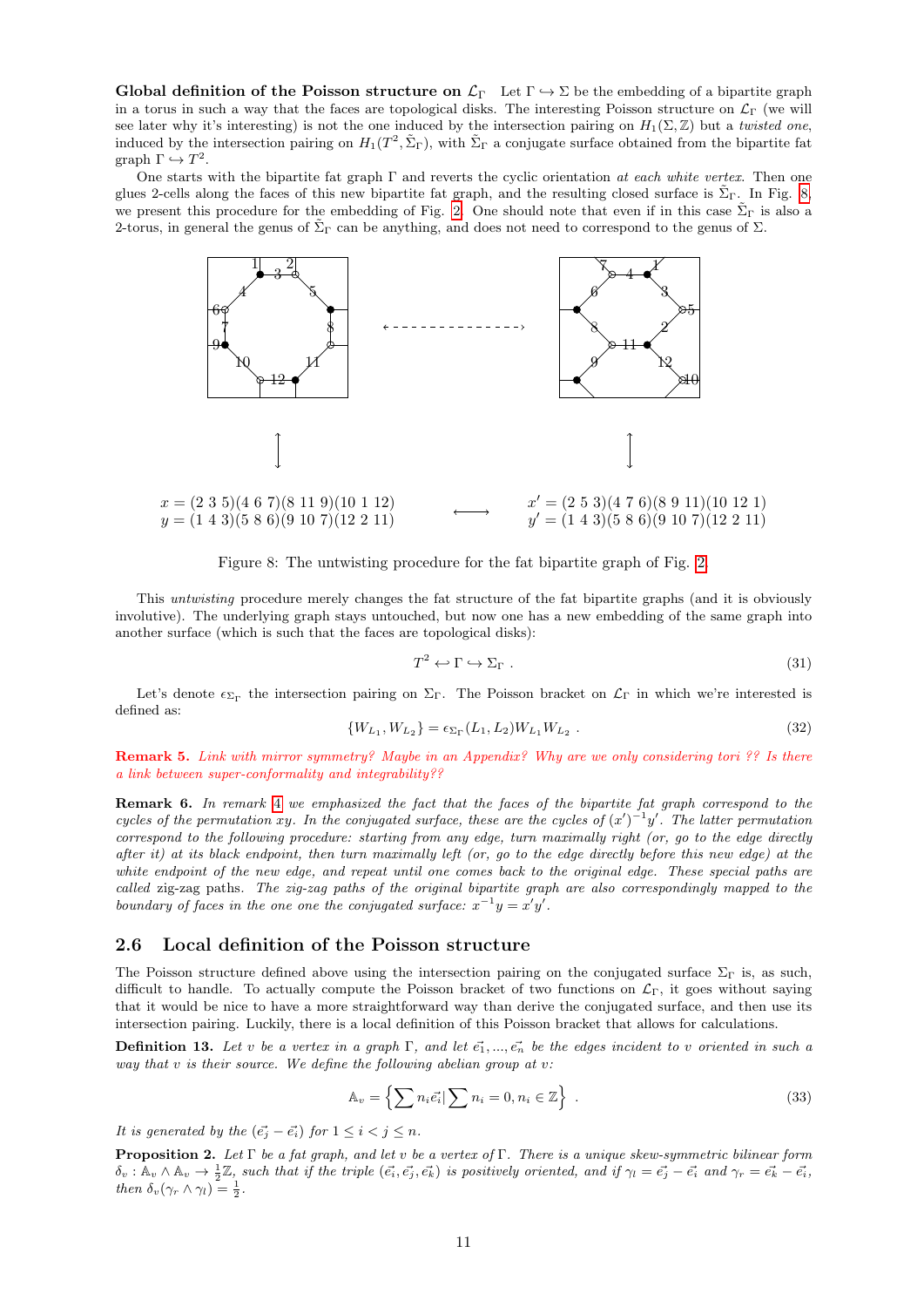Global definition of the Poisson structure on  $\mathcal{L}_{\Gamma}$  Let  $\Gamma \hookrightarrow \Sigma$  be the embedding of a bipartite graph in a torus in such a way that the faces are topological disks. The interesting Poisson structure on  $\mathcal{L}_{\Gamma}$  (we will see later why it's interesting) is not the one induced by the intersection pairing on  $H_1(\Sigma, \mathbb{Z})$  but a twisted one, induced by the intersection pairing on  $H_1(T^2, \tilde{\Sigma}_{\Gamma})$ , with  $\tilde{\Sigma}_{\Gamma}$  a conjugate surface obtained from the bipartite fat graph  $\Gamma \hookrightarrow T^2$ .

One starts with the bipartite fat graph  $\Gamma$  and reverts the cyclic orientation at each white vertex. Then one glues 2-cells along the faces of this new bipartite fat graph, and the resulting closed surface is  $\Sigma_{\Gamma}$ . In Fig. [8,](#page-10-1) we present this procedure for the embedding of Fig. [2.](#page-6-0) One should note that even if in this case  $\tilde{\Sigma}_{\Gamma}$  is also a 2-torus, in general the genus of  $\tilde{\Sigma}_{\Gamma}$  can be anything, and does not need to correspond to the genus of  $\Sigma$ .



<span id="page-10-1"></span>Figure 8: The untwisting procedure for the fat bipartite graph of Fig. [2.](#page-6-0)

This untwisting procedure merely changes the fat structure of the fat bipartite graphs (and it is obviously involutive). The underlying graph stays untouched, but now one has a new embedding of the same graph into another surface (which is such that the faces are topological disks):

$$
T^2 \leftrightarrow \Gamma \leftrightarrow \Sigma_{\Gamma} \tag{31}
$$

Let's denote  $\epsilon_{\Sigma_{\Gamma}}$  the intersection pairing on  $\Sigma_{\Gamma}$ . The Poisson bracket on  $\mathcal{L}_{\Gamma}$  in which we're interested is defined as:

<span id="page-10-3"></span>
$$
\{W_{L_1}, W_{L_2}\} = \epsilon_{\Sigma_{\Gamma}}(L_1, L_2) W_{L_1} W_{L_2} .
$$
\n(32)

Remark 5. Link with mirror symmetry? Maybe in an Appendix? Why are we only considering tori ?? Is there a link between super-conformality and integrability??

<span id="page-10-2"></span>Remark 6. In remark [4](#page-8-2) we emphasized the fact that the faces of the bipartite fat graph correspond to the cycles of the permutation xy. In the conjugated surface, these are the cycles of  $(x')^{-1}y'$ . The latter permutation correspond to the following procedure: starting from any edge, turn maximally right (or, go to the edge directly after it) at its black endpoint, then turn maximally left (or, go to the edge directly before this new edge) at the white endpoint of the new edge, and repeat until one comes back to the original edge. These special paths are called zig-zag paths. The zig-zag paths of the original bipartite graph are also correspondingly mapped to the boundary of faces in the one one the conjugated surface:  $x^{-1}y = x'y'$ .

## <span id="page-10-0"></span>2.6 Local definition of the Poisson structure

The Poisson structure defined above using the intersection pairing on the conjugated surface  $\Sigma_{\Gamma}$  is, as such, difficult to handle. To actually compute the Poisson bracket of two functions on  $\mathcal{L}_{\Gamma}$ , it goes without saying that it would be nice to have a more straightforward way than derive the conjugated surface, and then use its intersection pairing. Luckily, there is a local definition of this Poisson bracket that allows for calculations.

**Definition 13.** Let v be a vertex in a graph  $\Gamma$ , and let  $\vec{e_1}, \dots, \vec{e_n}$  be the edges incident to v oriented in such a way that  $v$  is their source. We define the following abelian group at  $v$ .

$$
\mathbb{A}_v = \left\{ \sum n_i \vec{e_i} \vert \sum n_i = 0, n_i \in \mathbb{Z} \right\} \ . \tag{33}
$$

It is generated by the  $(\vec{e_i} - \vec{e_i})$  for  $1 \leq i < j \leq n$ .

**Proposition 2.** Let  $\Gamma$  be a fat graph, and let v be a vertex of  $\Gamma$ . There is a unique skew-symmetric bilinear form  $\delta_v : \mathbb{A}_v \wedge \mathbb{A}_v \to \frac{1}{2}\mathbb{Z}$ , such that if the triple  $(\vec{e_i}, \vec{e_j}, \vec{e_k})$  is positively oriented, and if  $\gamma_l = \vec{e_j} - \vec{e_i}$  and  $\gamma_r = \vec{e_k} - \vec{e_i}$ , then  $\delta_v(\gamma_r \wedge \gamma_l) = \frac{1}{2}$ .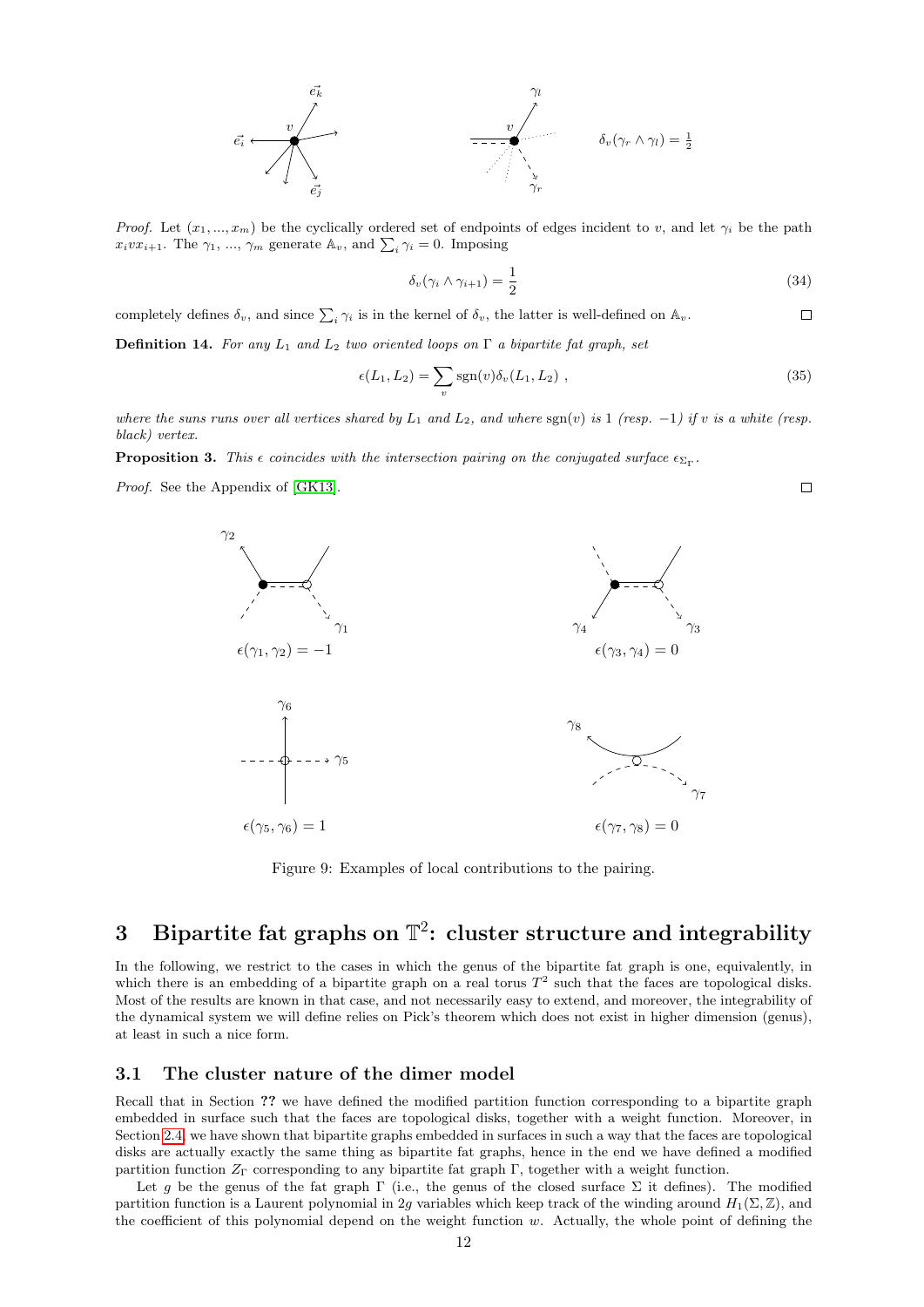

*Proof.* Let  $(x_1, ..., x_m)$  be the cyclically ordered set of endpoints of edges incident to v, and let  $\gamma_i$  be the path  $x_ivx_{i+1}$ . The  $\gamma_1, ..., \gamma_m$  generate  $\mathbb{A}_v$ , and  $\sum_i \gamma_i = 0$ . Imposing

$$
\delta_v(\gamma_i \wedge \gamma_{i+1}) = \frac{1}{2} \tag{34}
$$

 $\Box$ 

completely defines  $\delta_v$ , and since  $\sum_i \gamma_i$  is in the kernel of  $\delta_v$ , the latter is well-defined on  $\mathbb{A}_v$ .  $\Box$ 

**Definition 14.** For any  $L_1$  and  $L_2$  two oriented loops on  $\Gamma$  a bipartite fat graph, set

$$
\epsilon(L_1, L_2) = \sum_v \text{sgn}(v) \delta_v(L_1, L_2) , \qquad (35)
$$

where the suns runs over all vertices shared by  $L_1$  and  $L_2$ , and where  $sgn(v)$  is 1 (resp. -1) if v is a white (resp. black) vertex.

**Proposition 3.** This  $\epsilon$  coincides with the intersection pairing on the conjugated surface  $\epsilon_{\Sigma_{\Gamma}}$ .

Proof. See the Appendix of [\[GK13\]](#page-22-0).



Figure 9: Examples of local contributions to the pairing.

# <span id="page-11-0"></span>3 Bipartite fat graphs on  $\mathbb{T}^2$ : cluster structure and integrability

In the following, we restrict to the cases in which the genus of the bipartite fat graph is one, equivalently, in which there is an embedding of a bipartite graph on a real torus  $T<sup>2</sup>$  such that the faces are topological disks. Most of the results are known in that case, and not necessarily easy to extend, and moreover, the integrability of the dynamical system we will define relies on Pick's theorem which does not exist in higher dimension (genus), at least in such a nice form.

## <span id="page-11-1"></span>3.1 The cluster nature of the dimer model

Recall that in Section ?? we have defined the modified partition function corresponding to a bipartite graph embedded in surface such that the faces are topological disks, together with a weight function. Moreover, in Section [2.4,](#page-8-3) we have shown that bipartite graphs embedded in surfaces in such a way that the faces are topological disks are actually exactly the same thing as bipartite fat graphs, hence in the end we have defined a modified partition function  $Z_{\Gamma}$  corresponding to any bipartite fat graph  $\Gamma$ , together with a weight function.

Let g be the genus of the fat graph  $\Gamma$  (i.e., the genus of the closed surface  $\Sigma$  it defines). The modified partition function is a Laurent polynomial in 2g variables which keep track of the winding around  $H_1(\Sigma, \mathbb{Z})$ , and the coefficient of this polynomial depend on the weight function w. Actually, the whole point of defining the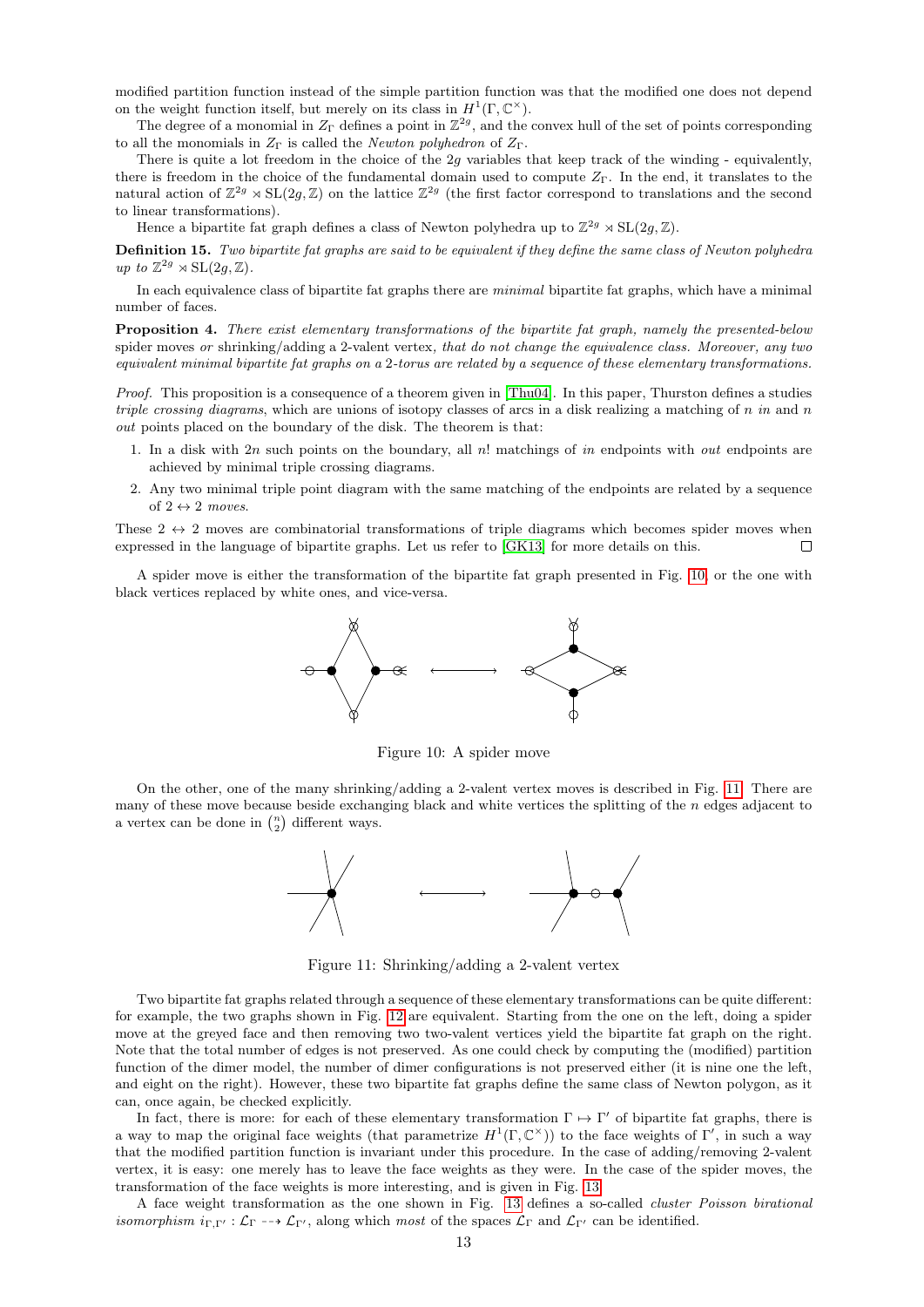modified partition function instead of the simple partition function was that the modified one does not depend on the weight function itself, but merely on its class in  $H^1(\Gamma, \mathbb{C}^\times)$ .

The degree of a monomial in  $Z_{\Gamma}$  defines a point in  $\mathbb{Z}^{2g}$ , and the convex hull of the set of points corresponding to all the monomials in  $Z_{\Gamma}$  is called the *Newton polyhedron* of  $Z_{\Gamma}$ .

There is quite a lot freedom in the choice of the 2g variables that keep track of the winding - equivalently, there is freedom in the choice of the fundamental domain used to compute  $Z_{\Gamma}$ . In the end, it translates to the natural action of  $\mathbb{Z}^{2g} \rtimes SL(2g, \mathbb{Z})$  on the lattice  $\mathbb{Z}^{2g}$  (the first factor correspond to translations and the second to linear transformations).

Hence a bipartite fat graph defines a class of Newton polyhedra up to  $\mathbb{Z}^{2g} \rtimes SL(2g, \mathbb{Z})$ .

Definition 15. Two bipartite fat graphs are said to be equivalent if they define the same class of Newton polyhedra up to  $\mathbb{Z}^{2g} \rtimes \mathrm{SL}(2g,\mathbb{Z})$ .

In each equivalence class of bipartite fat graphs there are minimal bipartite fat graphs, which have a minimal number of faces.

Proposition 4. There exist elementary transformations of the bipartite fat graph, namely the presented-below spider moves or shrinking/adding a 2-valent vertex, that do not change the equivalence class. Moreover, any two equivalent minimal bipartite fat graphs on a 2-torus are related by a sequence of these elementary transformations.

Proof. This proposition is a consequence of a theorem given in [\[Thu04\]](#page-22-9). In this paper, Thurston defines a studies triple crossing diagrams, which are unions of isotopy classes of arcs in a disk realizing a matching of n in and n out points placed on the boundary of the disk. The theorem is that:

- 1. In a disk with  $2n$  such points on the boundary, all n! matchings of in endpoints with *out* endpoints are achieved by minimal triple crossing diagrams.
- 2. Any two minimal triple point diagram with the same matching of the endpoints are related by a sequence of  $2 \leftrightarrow 2$  moves.

These  $2 \leftrightarrow 2$  moves are combinatorial transformations of triple diagrams which becomes spider moves when expressed in the language of bipartite graphs. Let us refer to [\[GK13\]](#page-22-0) for more details on this.  $\Box$ 

A spider move is either the transformation of the bipartite fat graph presented in Fig. [10,](#page-12-0) or the one with black vertices replaced by white ones, and vice-versa.



<span id="page-12-0"></span>Figure 10: A spider move

On the other, one of the many shrinking/adding a 2-valent vertex moves is described in Fig. [11.](#page-12-1) There are many of these move because beside exchanging black and white vertices the splitting of the n edges adjacent to a vertex can be done in  $\binom{n}{2}$  different ways.



<span id="page-12-1"></span>Figure 11: Shrinking/adding a 2-valent vertex

Two bipartite fat graphs related through a sequence of these elementary transformations can be quite different: for example, the two graphs shown in Fig. [12](#page-13-1) are equivalent. Starting from the one on the left, doing a spider move at the greyed face and then removing two two-valent vertices yield the bipartite fat graph on the right. Note that the total number of edges is not preserved. As one could check by computing the (modified) partition function of the dimer model, the number of dimer configurations is not preserved either (it is nine one the left, and eight on the right). However, these two bipartite fat graphs define the same class of Newton polygon, as it can, once again, be checked explicitly.

In fact, there is more: for each of these elementary transformation  $\Gamma \mapsto \Gamma'$  of bipartite fat graphs, there is a way to map the original face weights (that parametrize  $H^1(\Gamma, \mathbb{C}^\times)$ ) to the face weights of  $\Gamma'$ , in such a way that the modified partition function is invariant under this procedure. In the case of adding/removing 2-valent vertex, it is easy: one merely has to leave the face weights as they were. In the case of the spider moves, the transformation of the face weights is more interesting, and is given in Fig. [13.](#page-13-2)

A face weight transformation as the one shown in Fig. [13](#page-13-2) defines a so-called cluster Poisson birational *isomorphism*  $i_{\Gamma,\Gamma'} : \mathcal{L}_{\Gamma} \dashrightarrow \mathcal{L}_{\Gamma'}$ , along which most of the spaces  $\mathcal{L}_{\Gamma}$  and  $\mathcal{L}_{\Gamma'}$  can be identified.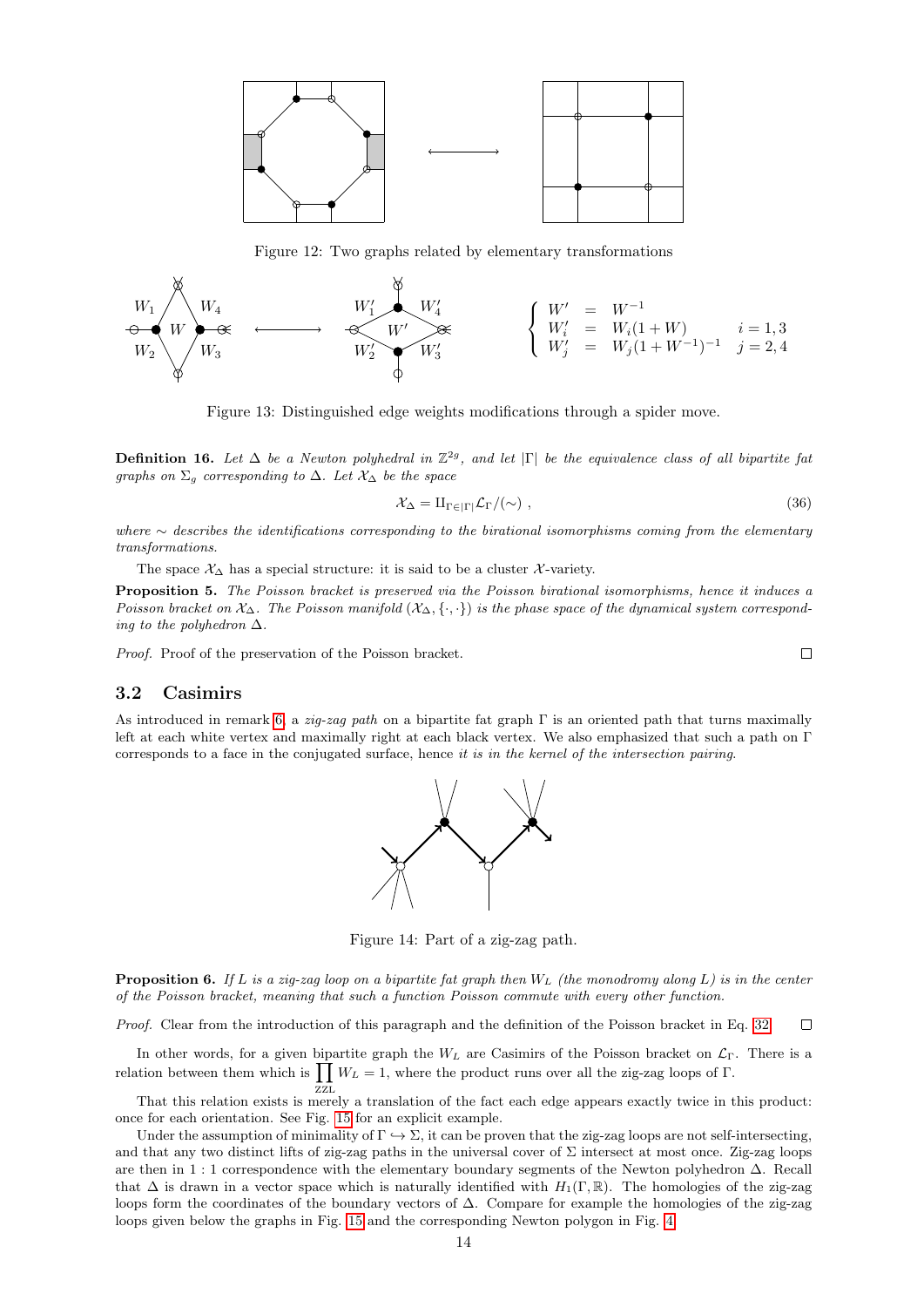

<span id="page-13-1"></span>Figure 12: Two graphs related by elementary transformations



<span id="page-13-2"></span>Figure 13: Distinguished edge weights modifications through a spider move.

**Definition 16.** Let  $\Delta$  be a Newton polyhedral in  $\mathbb{Z}^{2g}$ , and let  $|\Gamma|$  be the equivalence class of all bipartite fat graphs on  $\Sigma_g$  corresponding to  $\Delta$ . Let  $\mathcal{X}_\Delta$  be the space

$$
\mathcal{X}_{\Delta} = \mathrm{II}_{\Gamma \in |\Gamma|} \mathcal{L}_{\Gamma} / (\sim) , \qquad (36)
$$

where ∼ describes the identifications corresponding to the birational isomorphisms coming from the elementary transformations.

The space  $\mathcal{X}_{\Delta}$  has a special structure: it is said to be a cluster X-variety.

Proposition 5. The Poisson bracket is preserved via the Poisson birational isomorphisms, hence it induces a Poisson bracket on  $\mathcal{X}_\Delta$ . The Poisson manifold  $(\mathcal{X}_\Delta, \{\cdot, \cdot\})$  is the phase space of the dynamical system corresponding to the polyhedron  $\Delta$ .

Proof. Proof of the preservation of the Poisson bracket.

## <span id="page-13-0"></span>3.2 Casimirs

As introduced in remark [6,](#page-10-2) a zig-zag path on a bipartite fat graph Γ is an oriented path that turns maximally left at each white vertex and maximally right at each black vertex. We also emphasized that such a path on Γ corresponds to a face in the conjugated surface, hence it is in the kernel of the intersection pairing.



Figure 14: Part of a zig-zag path.

**Proposition 6.** If L is a zig-zag loop on a bipartite fat graph then  $W_L$  (the monodromy along L) is in the center of the Poisson bracket, meaning that such a function Poisson commute with every other function.

Proof. Clear from the introduction of this paragraph and the definition of the Poisson bracket in Eq. [32.](#page-10-3)  $\Box$ 

In other words, for a given bipartite graph the  $W_L$  are Casimirs of the Poisson bracket on  $\mathcal{L}_{\Gamma}$ . There is a relation between them which is  $\prod W_L = 1$ , where the product runs over all the zig-zag loops of Γ.

ZZL That this relation exists is merely a translation of the fact each edge appears exactly twice in this product: once for each orientation. See Fig. [15](#page-14-2) for an explicit example.

Under the assumption of minimality of  $\Gamma \hookrightarrow \Sigma$ , it can be proven that the zig-zag loops are not self-intersecting, and that any two distinct lifts of zig-zag paths in the universal cover of  $\Sigma$  intersect at most once. Zig-zag loops are then in 1 : 1 correspondence with the elementary boundary segments of the Newton polyhedron ∆. Recall that  $\Delta$  is drawn in a vector space which is naturally identified with  $H_1(\Gamma, \mathbb{R})$ . The homologies of the zig-zag loops form the coordinates of the boundary vectors of ∆. Compare for example the homologies of the zig-zag loops given below the graphs in Fig. [15](#page-14-2) and the corresponding Newton polygon in Fig. [4.](#page-7-1)

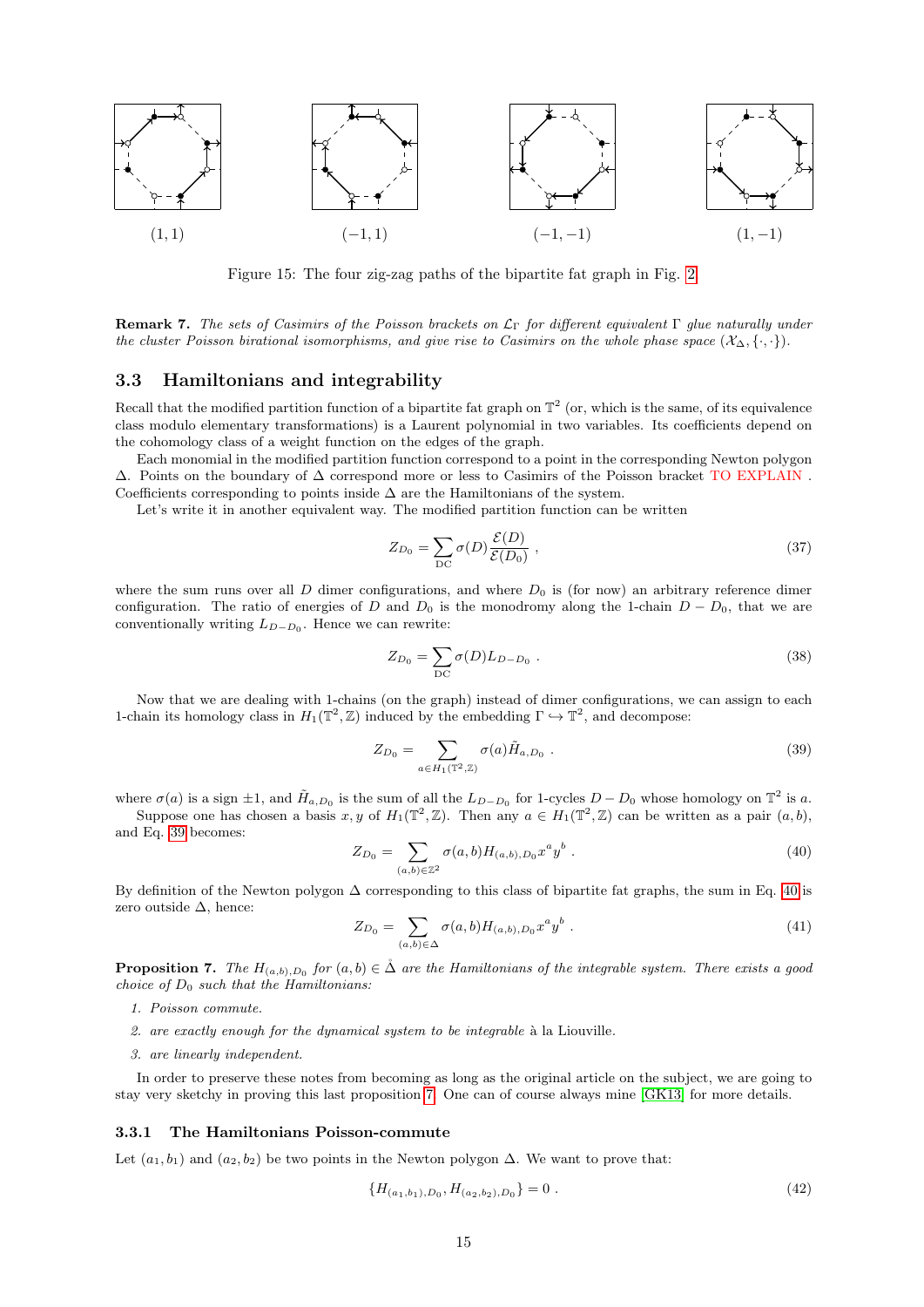

<span id="page-14-2"></span>Figure 15: The four zig-zag paths of the bipartite fat graph in Fig. [2.](#page-6-0)

Remark 7. The sets of Casimirs of the Poisson brackets on  $\mathcal{L}_{\Gamma}$  for different equivalent  $\Gamma$  glue naturally under the cluster Poisson birational isomorphisms, and give rise to Casimirs on the whole phase space  $(\mathcal{X}_{\Delta}, \{\cdot, \cdot\})$ .

## <span id="page-14-0"></span>3.3 Hamiltonians and integrability

Recall that the modified partition function of a bipartite fat graph on  $\mathbb{T}^2$  (or, which is the same, of its equivalence class modulo elementary transformations) is a Laurent polynomial in two variables. Its coefficients depend on the cohomology class of a weight function on the edges of the graph.

Each monomial in the modified partition function correspond to a point in the corresponding Newton polygon ∆. Points on the boundary of ∆ correspond more or less to Casimirs of the Poisson bracket TO EXPLAIN . Coefficients corresponding to points inside  $\Delta$  are the Hamiltonians of the system.

Let's write it in another equivalent way. The modified partition function can be written

$$
Z_{D_0} = \sum_{\mathcal{D}\mathcal{C}} \sigma(D) \frac{\mathcal{E}(D)}{\mathcal{E}(D_0)},\tag{37}
$$

where the sum runs over all D dimer configurations, and where  $D_0$  is (for now) an arbitrary reference dimer configuration. The ratio of energies of D and  $D_0$  is the monodromy along the 1-chain  $D - D_0$ , that we are conventionally writing  $L_{D-D_0}$ . Hence we can rewrite:

$$
Z_{D_0} = \sum_{DC} \sigma(D) L_{D-D_0} . \qquad (38)
$$

Now that we are dealing with 1-chains (on the graph) instead of dimer configurations, we can assign to each 1-chain its homology class in  $H_1(\mathbb{T}^2, \mathbb{Z})$  induced by the embedding  $\Gamma \hookrightarrow \mathbb{T}^2$ , and decompose:

<span id="page-14-3"></span>
$$
Z_{D_0} = \sum_{a \in H_1(\mathbb{T}^2, \mathbb{Z})} \sigma(a) \tilde{H}_{a, D_0} . \tag{39}
$$

where  $\sigma(a)$  is a sign  $\pm 1$ , and  $\tilde{H}_{a,D_0}$  is the sum of all the  $L_{D-D_0}$  for 1-cycles  $D-D_0$  whose homology on  $\mathbb{T}^2$  is a.

Suppose one has chosen a basis  $x, y$  of  $H_1(\mathbb{T}^2, \mathbb{Z})$ . Then any  $a \in H_1(\mathbb{T}^2, \mathbb{Z})$  can be written as a pair  $(a, b)$ , and Eq. [39](#page-14-3) becomes:

<span id="page-14-4"></span>
$$
Z_{D_0} = \sum_{(a,b)\in\mathbb{Z}^2} \sigma(a,b) H_{(a,b),D_0} x^a y^b . \tag{40}
$$

By definition of the Newton polygon ∆ corresponding to this class of bipartite fat graphs, the sum in Eq. [40](#page-14-4) is zero outside ∆, hence:

$$
Z_{D_0} = \sum_{(a,b)\in\Delta} \sigma(a,b) H_{(a,b),D_0} x^a y^b . \tag{41}
$$

<span id="page-14-5"></span>**Proposition 7.** The  $H_{(a,b),D_0}$  for  $(a,b) \in \mathring{\Delta}$  are the Hamiltonians of the integrable system. There exists a good choice of  $D_0$  such that the Hamiltonians:

- 1. Poisson commute.
- 2. are exactly enough for the dynamical system to be integrable  $\hat{a}$  la Liouville.
- 3. are linearly independent.

In order to preserve these notes from becoming as long as the original article on the subject, we are going to stay very sketchy in proving this last proposition [7.](#page-14-5) One can of course always mine [\[GK13\]](#page-22-0) for more details.

#### <span id="page-14-1"></span>3.3.1 The Hamiltonians Poisson-commute

Let  $(a_1, b_1)$  and  $(a_2, b_2)$  be two points in the Newton polygon  $\Delta$ . We want to prove that:

<span id="page-14-6"></span>
$$
\{H_{(a_1,b_1),D_0},H_{(a_2,b_2),D_0}\}=0.
$$
\n(42)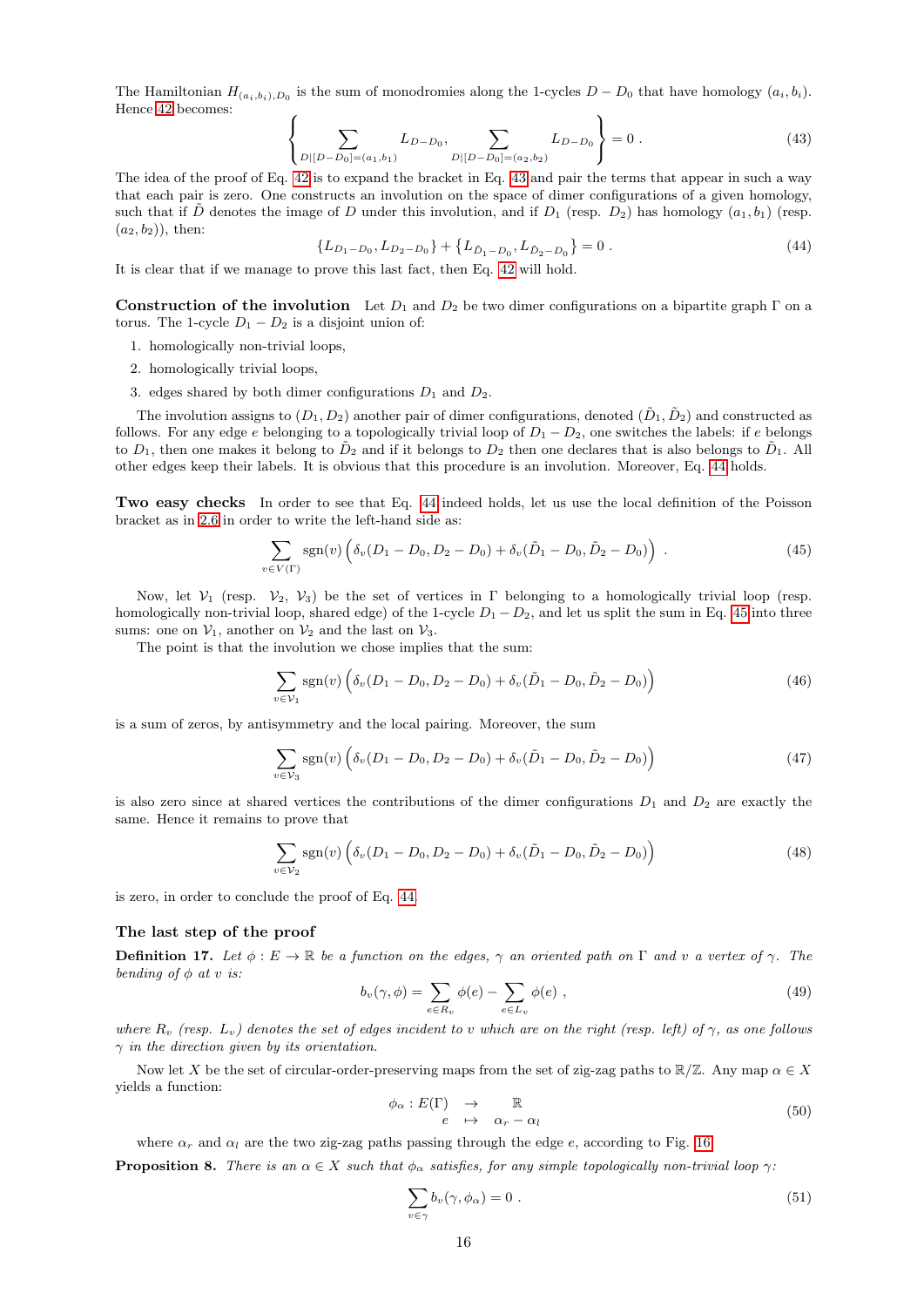The Hamiltonian  $H_{(a_i,b_i),D_0}$  is the sum of monodromies along the 1-cycles  $D - D_0$  that have homology  $(a_i,b_i)$ . Hence [42](#page-14-6) becomes:  $\sqrt{ }$ 

<span id="page-15-0"></span>
$$
\left\{\sum_{D|[D-D_0]=(a_1,b_1)} L_{D-D_0}, \sum_{D|[D-D_0]=(a_2,b_2)} L_{D-D_0}\right\} = 0.
$$
\n(43)

The idea of the proof of Eq. [42](#page-14-6) is to expand the bracket in Eq. [43](#page-15-0) and pair the terms that appear in such a way that each pair is zero. One constructs an involution on the space of dimer configurations of a given homology, such that if D denotes the image of D under this involution, and if  $D_1$  (resp.  $D_2$ ) has homology  $(a_1, b_1)$  (resp.  $(a_2, b_2)$ , then:

<span id="page-15-1"></span>
$$
\{L_{D_1 - D_0}, L_{D_2 - D_0}\} + \{L_{\tilde{D}_1 - D_0}, L_{\tilde{D}_2 - D_0}\} = 0.
$$
\n(44)

It is clear that if we manage to prove this last fact, then Eq. [42](#page-14-6) will hold.

Construction of the involution Let  $D_1$  and  $D_2$  be two dimer configurations on a bipartite graph  $\Gamma$  on a torus. The 1-cycle  $D_1 - D_2$  is a disjoint union of:

- 1. homologically non-trivial loops,
- 2. homologically trivial loops,
- 3. edges shared by both dimer configurations  $D_1$  and  $D_2$ .

The involution assigns to  $(D_1, D_2)$  another pair of dimer configurations, denoted  $(\tilde{D}_1, \tilde{D}_2)$  and constructed as follows. For any edge e belonging to a topologically trivial loop of  $D_1 - D_2$ , one switches the labels: if e belongs to  $D_1$ , then one makes it belong to  $\tilde{D}_2$  and if it belongs to  $D_2$  then one declares that is also belongs to  $\tilde{D}_1$ . All other edges keep their labels. It is obvious that this procedure is an involution. Moreover, Eq. [44](#page-15-1) holds.

Two easy checks In order to see that Eq. [44](#page-15-1) indeed holds, let us use the local definition of the Poisson bracket as in [2.6](#page-10-0) in order to write the left-hand side as:

<span id="page-15-2"></span>
$$
\sum_{v \in V(\Gamma)} sgn(v) \left( \delta_v (D_1 - D_0, D_2 - D_0) + \delta_v (\tilde{D}_1 - D_0, \tilde{D}_2 - D_0) \right) \ . \tag{45}
$$

Now, let  $V_1$  (resp.  $V_2$ ,  $V_3$ ) be the set of vertices in Γ belonging to a homologically trivial loop (resp. homologically non-trivial loop, shared edge) of the 1-cycle  $D_1 - D_2$ , and let us split the sum in Eq. [45](#page-15-2) into three sums: one on  $\mathcal{V}_1$ , another on  $\mathcal{V}_2$  and the last on  $\mathcal{V}_3$ .

The point is that the involution we chose implies that the sum:

$$
\sum_{v \in \mathcal{V}_1} \text{sgn}(v) \left( \delta_v (D_1 - D_0, D_2 - D_0) + \delta_v (\tilde{D}_1 - D_0, \tilde{D}_2 - D_0) \right) \tag{46}
$$

is a sum of zeros, by antisymmetry and the local pairing. Moreover, the sum

$$
\sum_{v \in \mathcal{V}_3} \text{sgn}(v) \left( \delta_v (D_1 - D_0, D_2 - D_0) + \delta_v (\tilde{D}_1 - D_0, \tilde{D}_2 - D_0) \right) \tag{47}
$$

is also zero since at shared vertices the contributions of the dimer configurations  $D_1$  and  $D_2$  are exactly the same. Hence it remains to prove that

$$
\sum_{v \in \mathcal{V}_2} \text{sgn}(v) \left( \delta_v (D_1 - D_0, D_2 - D_0) + \delta_v (\tilde{D}_1 - D_0, \tilde{D}_2 - D_0) \right) \tag{48}
$$

is zero, in order to conclude the proof of Eq. [44.](#page-15-1)

## The last step of the proof

**Definition 17.** Let  $\phi : E \to \mathbb{R}$  be a function on the edges,  $\gamma$  an oriented path on  $\Gamma$  and v a vertex of  $\gamma$ . The bending of  $\phi$  at v is:

$$
b_v(\gamma, \phi) = \sum_{e \in R_v} \phi(e) - \sum_{e \in L_v} \phi(e) , \qquad (49)
$$

where  $R_v$  (resp.  $L_v$ ) denotes the set of edges incident to v which are on the right (resp. left) of  $\gamma$ , as one follows  $\gamma$  in the direction given by its orientation.

Now let X be the set of circular-order-preserving maps from the set of zig-zag paths to  $\mathbb{R}/\mathbb{Z}$ . Any map  $\alpha \in X$ yields a function:

$$
\begin{array}{rcl}\n\phi_{\alpha}: E(\Gamma) & \to & \mathbb{R} \\
e & \mapsto & \alpha_{r} - \alpha_{l}\n\end{array} \tag{50}
$$

where  $\alpha_r$  and  $\alpha_l$  are the two zig-zag paths passing through the edge e, according to Fig. [16.](#page-16-2)

**Proposition 8.** There is an  $\alpha \in X$  such that  $\phi_{\alpha}$  satisfies, for any simple topologically non-trivial loop  $\gamma$ :

$$
\sum_{v \in \gamma} b_v(\gamma, \phi_\alpha) = 0 \tag{51}
$$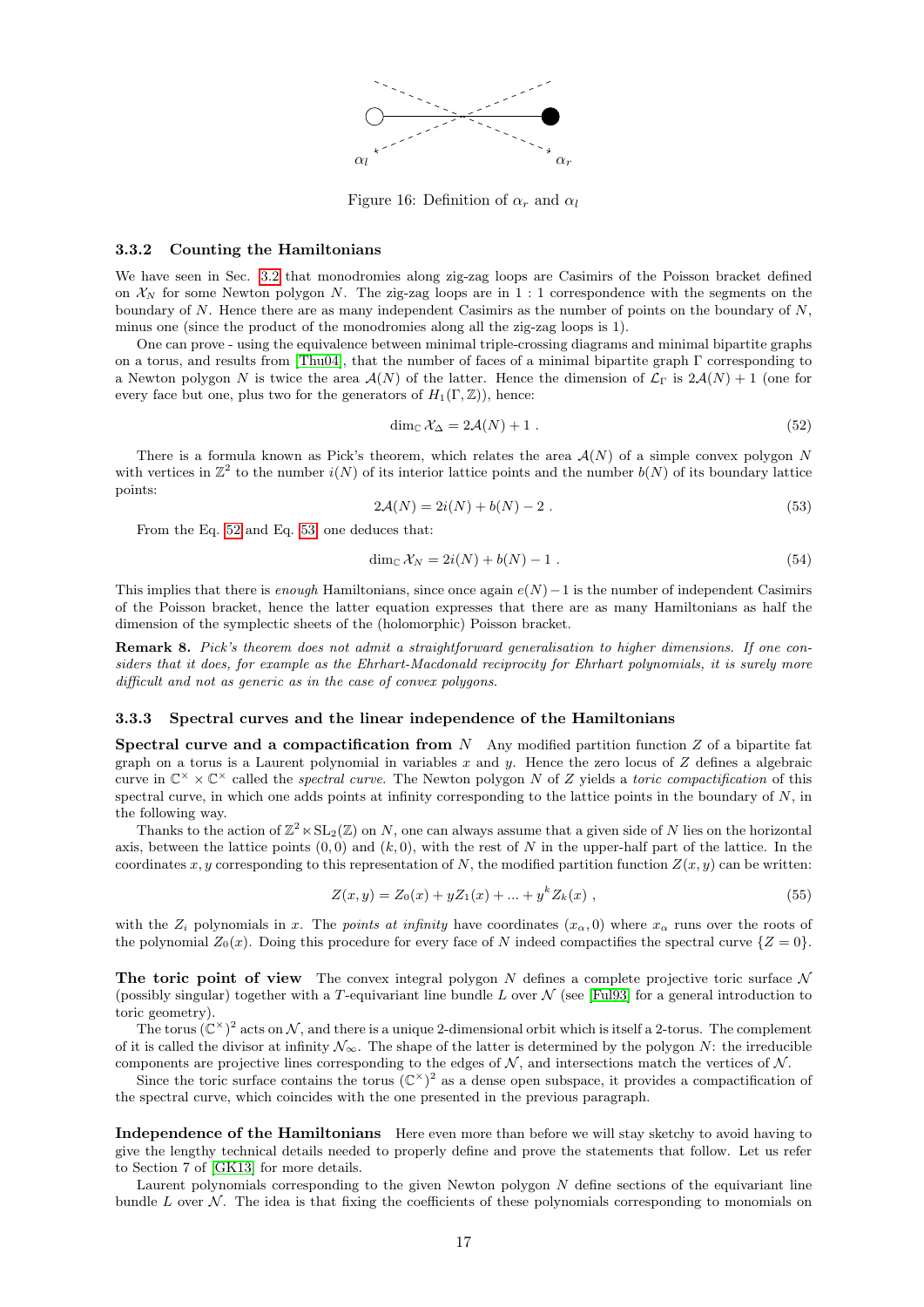

<span id="page-16-2"></span>Figure 16: Definition of  $\alpha_r$  and  $\alpha_l$ 

#### <span id="page-16-0"></span>3.3.2 Counting the Hamiltonians

We have seen in Sec. [3.2](#page-13-0) that monodromies along zig-zag loops are Casimirs of the Poisson bracket defined on  $\mathcal{X}_N$  for some Newton polygon N. The zig-zag loops are in 1 : 1 correspondence with the segments on the boundary of N. Hence there are as many independent Casimirs as the number of points on the boundary of  $N$ , minus one (since the product of the monodromies along all the zig-zag loops is 1).

One can prove - using the equivalence between minimal triple-crossing diagrams and minimal bipartite graphs on a torus, and results from [\[Thu04\]](#page-22-9), that the number of faces of a minimal bipartite graph Γ corresponding to a Newton polygon N is twice the area  $\mathcal{A}(N)$  of the latter. Hence the dimension of  $\mathcal{L}_{\Gamma}$  is  $2\mathcal{A}(N) + 1$  (one for every face but one, plus two for the generators of  $H_1(\Gamma, \mathbb{Z})$ , hence:

<span id="page-16-3"></span>
$$
\dim_{\mathbb{C}} \mathcal{X}_{\Delta} = 2\mathcal{A}(N) + 1. \tag{52}
$$

There is a formula known as Pick's theorem, which relates the area  $\mathcal{A}(N)$  of a simple convex polygon N with vertices in  $\mathbb{Z}^2$  to the number  $i(N)$  of its interior lattice points and the number  $b(N)$  of its boundary lattice points:

<span id="page-16-4"></span>
$$
2\mathcal{A}(N) = 2i(N) + b(N) - 2.
$$
 (53)

From the Eq. [52](#page-16-3) and Eq. [53,](#page-16-4) one deduces that:

$$
\dim_{\mathbb{C}} \mathcal{X}_N = 2i(N) + b(N) - 1 \tag{54}
$$

This implies that there is enough Hamiltonians, since once again  $e(N)-1$  is the number of independent Casimirs of the Poisson bracket, hence the latter equation expresses that there are as many Hamiltonians as half the dimension of the symplectic sheets of the (holomorphic) Poisson bracket.

Remark 8. Pick's theorem does not admit a straightforward generalisation to higher dimensions. If one considers that it does, for example as the Ehrhart-Macdonald reciprocity for Ehrhart polynomials, it is surely more difficult and not as generic as in the case of convex polygons.

#### <span id="page-16-1"></span>3.3.3 Spectral curves and the linear independence of the Hamiltonians

**Spectral curve and a compactification from** N Any modified partition function Z of a bipartite fat graph on a torus is a Laurent polynomial in variables x and y. Hence the zero locus of Z defines a algebraic curve in  $\mathbb{C}^\times \times \mathbb{C}^\times$  called the spectral curve. The Newton polygon N of Z yields a toric compactification of this spectral curve, in which one adds points at infinity corresponding to the lattice points in the boundary of  $N$ , in the following way.

Thanks to the action of  $\mathbb{Z}^2 \times SL_2(\mathbb{Z})$  on N, one can always assume that a given side of N lies on the horizontal axis, between the lattice points  $(0,0)$  and  $(k, 0)$ , with the rest of N in the upper-half part of the lattice. In the coordinates x, y corresponding to this representation of N, the modified partition function  $Z(x, y)$  can be written:

$$
Z(x, y) = Z_0(x) + yZ_1(x) + \dots + y^k Z_k(x) , \qquad (55)
$$

with the  $Z_i$  polynomials in x. The points at infinity have coordinates  $(x_\alpha, 0)$  where  $x_\alpha$  runs over the roots of the polynomial  $Z_0(x)$ . Doing this procedure for every face of N indeed compactifies the spectral curve  $\{Z=0\}$ .

The toric point of view The convex integral polygon N defines a complete projective toric surface N (possibly singular) together with a T-equivariant line bundle L over  $\mathcal N$  (see [\[Ful93\]](#page-22-10) for a general introduction to toric geometry).

The torus  $(\mathbb{C}^{\times})^2$  acts on N, and there is a unique 2-dimensional orbit which is itself a 2-torus. The complement of it is called the divisor at infinity  $\mathcal{N}_{\infty}$ . The shape of the latter is determined by the polygon N: the irreducible components are projective lines corresponding to the edges of  $N$ , and intersections match the vertices of  $N$ .

Since the toric surface contains the torus  $(\mathbb{C}^{\times})^2$  as a dense open subspace, it provides a compactification of the spectral curve, which coincides with the one presented in the previous paragraph.

Independence of the Hamiltonians Here even more than before we will stay sketchy to avoid having to give the lengthy technical details needed to properly define and prove the statements that follow. Let us refer to Section 7 of [\[GK13\]](#page-22-0) for more details.

Laurent polynomials corresponding to the given Newton polygon  $N$  define sections of the equivariant line bundle L over  $\mathcal N$ . The idea is that fixing the coefficients of these polynomials corresponding to monomials on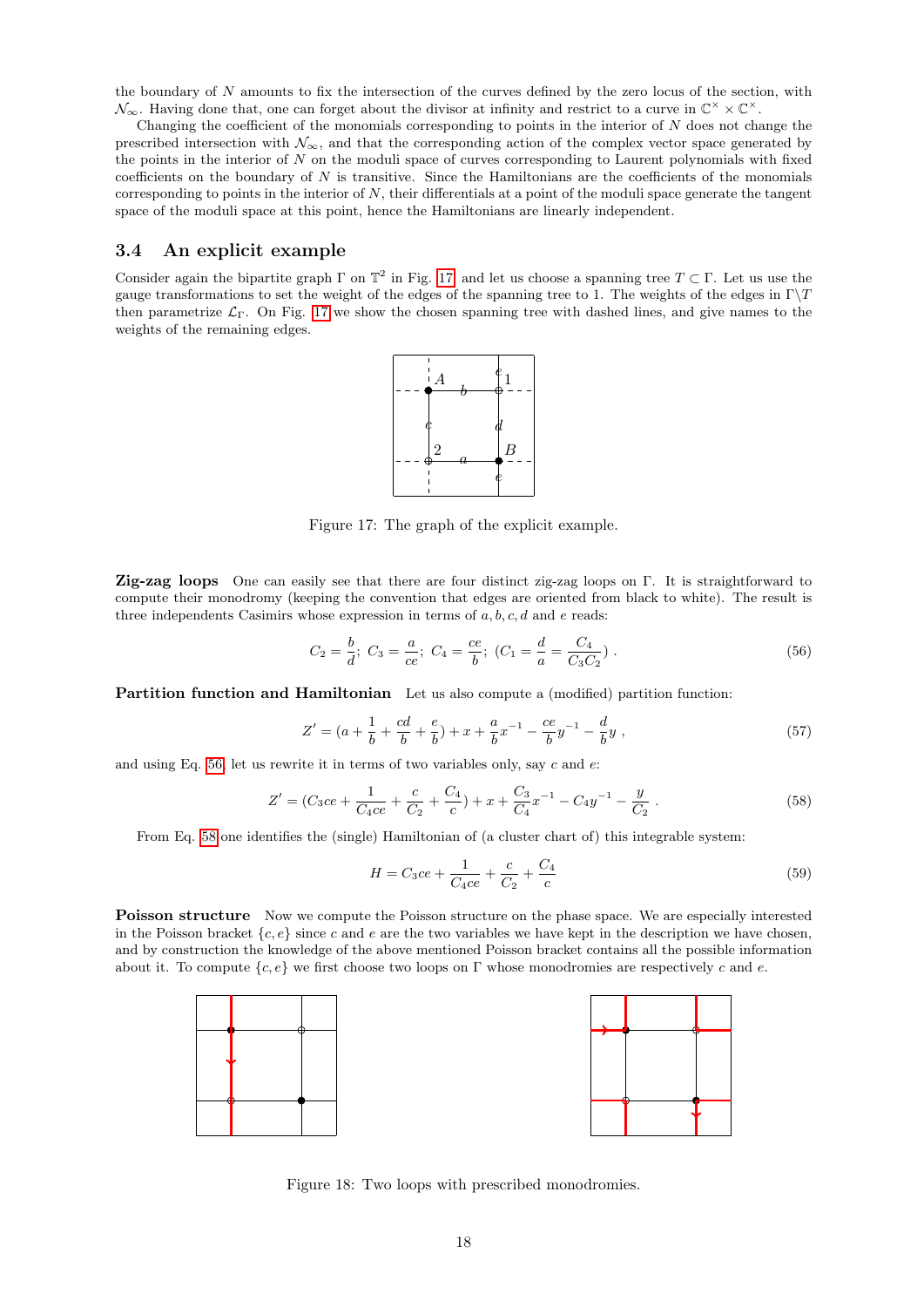the boundary of N amounts to fix the intersection of the curves defined by the zero locus of the section, with  $\mathcal{N}_{\infty}$ . Having done that, one can forget about the divisor at infinity and restrict to a curve in  $\mathbb{C}^{\times} \times \mathbb{C}^{\times}$ .

Changing the coefficient of the monomials corresponding to points in the interior of  $N$  does not change the prescribed intersection with  $\mathcal{N}_{\infty}$ , and that the corresponding action of the complex vector space generated by the points in the interior of  $N$  on the moduli space of curves corresponding to Laurent polynomials with fixed coefficients on the boundary of  $N$  is transitive. Since the Hamiltonians are the coefficients of the monomials corresponding to points in the interior of N, their differentials at a point of the moduli space generate the tangent space of the moduli space at this point, hence the Hamiltonians are linearly independent.

## <span id="page-17-0"></span>3.4 An explicit example

Consider again the bipartite graph  $\Gamma$  on  $\mathbb{T}^2$  in Fig. [17,](#page-17-1) and let us choose a spanning tree  $T \subset \Gamma$ . Let us use the gauge transformations to set the weight of the edges of the spanning tree to 1. The weights of the edges in  $\Gamma \backslash T$ then parametrize  $\mathcal{L}_{\Gamma}$ . On Fig. [17](#page-17-1) we show the chosen spanning tree with dashed lines, and give names to the weights of the remaining edges.



<span id="page-17-1"></span>Figure 17: The graph of the explicit example.

Zig-zag loops One can easily see that there are four distinct zig-zag loops on Γ. It is straightforward to compute their monodromy (keeping the convention that edges are oriented from black to white). The result is three independents Casimirs whose expression in terms of  $a, b, c, d$  and  $e$  reads:

<span id="page-17-2"></span>
$$
C_2 = \frac{b}{d}; \ C_3 = \frac{a}{ce}; \ C_4 = \frac{ce}{b}; \ (C_1 = \frac{d}{a} = \frac{C_4}{C_3 C_2}). \tag{56}
$$

Partition function and Hamiltonian Let us also compute a (modified) partition function:

$$
Z' = (a + \frac{1}{b} + \frac{cd}{b} + \frac{e}{b}) + x + \frac{a}{b}x^{-1} - \frac{ce}{b}y^{-1} - \frac{d}{b}y,
$$
\n(57)

and using Eq. [56,](#page-17-2) let us rewrite it in terms of two variables only, say  $c$  and  $e$ :

<span id="page-17-3"></span>
$$
Z' = (C_3ce + \frac{1}{C_4ce} + \frac{c}{C_2} + \frac{C_4}{c}) + x + \frac{C_3}{C_4}x^{-1} - C_4y^{-1} - \frac{y}{C_2}.
$$
\n(58)

From Eq. [58](#page-17-3) one identifies the (single) Hamiltonian of (a cluster chart of) this integrable system:

$$
H = C_3 c e + \frac{1}{C_4 c e} + \frac{c}{C_2} + \frac{C_4}{c}
$$
\n(59)

**Poisson structure** Now we compute the Poisson structure on the phase space. We are especially interested in the Poisson bracket  ${c, e}$  since c and e are the two variables we have kept in the description we have chosen, and by construction the knowledge of the above mentioned Poisson bracket contains all the possible information about it. To compute  ${c, e}$  we first choose two loops on Γ whose monodromies are respectively c and e.





<span id="page-17-4"></span>Figure 18: Two loops with prescribed monodromies.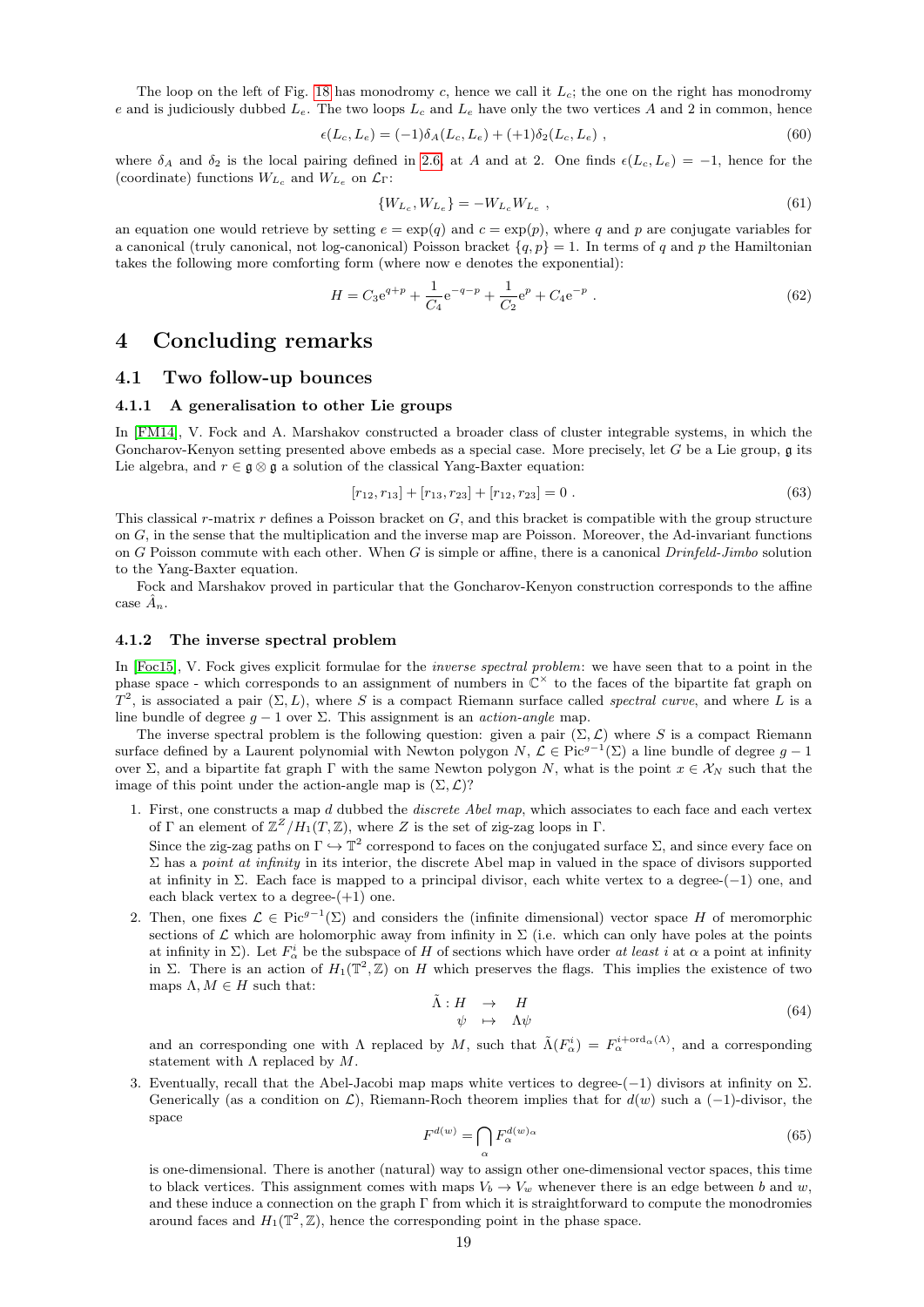The loop on the left of Fig. [18](#page-17-4) has monodromy c, hence we call it  $L_c$ ; the one on the right has monodromy e and is judiciously dubbed  $L_e$ . The two loops  $L_c$  and  $L_e$  have only the two vertices A and 2 in common, hence

$$
\epsilon(L_c, L_e) = (-1)\delta_A(L_c, L_e) + (+1)\delta_2(L_c, L_e) , \qquad (60)
$$

where  $\delta_A$  and  $\delta_2$  is the local pairing defined in [2.6,](#page-10-0) at A and at 2. One finds  $\epsilon(L_c, L_e) = -1$ , hence for the (coordinate) functions  $W_{L_c}$  and  $W_{L_e}$  on  $\mathcal{L}_{\Gamma}$ :

$$
\{W_{L_c}, W_{L_e}\} = -W_{L_c} W_{L_e} \t\t(61)
$$

an equation one would retrieve by setting  $e = \exp(q)$  and  $c = \exp(p)$ , where q and p are conjugate variables for a canonical (truly canonical, not log-canonical) Poisson bracket  $\{q, p\} = 1$ . In terms of q and p the Hamiltonian takes the following more comforting form (where now e denotes the exponential):

$$
H = C_3 e^{q+p} + \frac{1}{C_4} e^{-q-p} + \frac{1}{C_2} e^p + C_4 e^{-p} . \tag{62}
$$

# <span id="page-18-0"></span>4 Concluding remarks

#### <span id="page-18-1"></span>4.1 Two follow-up bounces

#### <span id="page-18-2"></span>4.1.1 A generalisation to other Lie groups

In [\[FM14\]](#page-22-11), V. Fock and A. Marshakov constructed a broader class of cluster integrable systems, in which the Goncharov-Kenyon setting presented above embeds as a special case. More precisely, let  $G$  be a Lie group,  $\mathfrak g$  its Lie algebra, and  $r \in \mathfrak{g} \otimes \mathfrak{g}$  a solution of the classical Yang-Baxter equation:

$$
[r_{12}, r_{13}] + [r_{13}, r_{23}] + [r_{12}, r_{23}] = 0.
$$
\n
$$
(63)
$$

This classical r-matrix r defines a Poisson bracket on  $G$ , and this bracket is compatible with the group structure on G, in the sense that the multiplication and the inverse map are Poisson. Moreover, the Ad-invariant functions on G Poisson commute with each other. When G is simple or affine, there is a canonical  $Drinfeld-Jimbo$  solution to the Yang-Baxter equation.

Fock and Marshakov proved in particular that the Goncharov-Kenyon construction corresponds to the affine case  $\hat{A}_n$ .

#### <span id="page-18-3"></span>4.1.2 The inverse spectral problem

In [\[Foc15\]](#page-22-12), V. Fock gives explicit formulae for the *inverse spectral problem*: we have seen that to a point in the phase space - which corresponds to an assignment of numbers in  $\mathbb{C}^{\times}$  to the faces of the bipartite fat graph on  $T^2$ , is associated a pair  $(\Sigma, L)$ , where S is a compact Riemann surface called spectral curve, and where L is a line bundle of degree  $g - 1$  over  $\Sigma$ . This assignment is an *action-angle* map.

The inverse spectral problem is the following question: given a pair  $(\Sigma, \mathcal{L})$  where S is a compact Riemann surface defined by a Laurent polynomial with Newton polygon  $N, \mathcal{L} \in \text{Pic}^{g-1}(\Sigma)$  a line bundle of degree  $g-1$ over Σ, and a bipartite fat graph Γ with the same Newton polygon N, what is the point  $x \in X_N$  such that the image of this point under the action-angle map is  $(\Sigma, \mathcal{L})$ ?

1. First, one constructs a map d dubbed the discrete Abel map, which associates to each face and each vertex of  $\Gamma$  an element of  $\mathbb{Z}^Z/H_1(T,\mathbb{Z})$ , where Z is the set of zig-zag loops in  $\Gamma$ .

Since the zig-zag paths on  $\Gamma \hookrightarrow \mathbb{T}^2$  correspond to faces on the conjugated surface  $\Sigma$ , and since every face on  $\Sigma$  has a *point at infinity* in its interior, the discrete Abel map in valued in the space of divisors supported at infinity in  $\Sigma$ . Each face is mapped to a principal divisor, each white vertex to a degree-(-1) one, and each black vertex to a degree- $(+1)$  one.

2. Then, one fixes  $\mathcal{L} \in \text{Pic}^{g-1}(\Sigma)$  and considers the (infinite dimensional) vector space H of meromorphic sections of L which are holomorphic away from infinity in  $\Sigma$  (i.e. which can only have poles at the points at infinity in  $\Sigma$ ). Let  $F^i_\alpha$  be the subspace of H of sections which have order at least i at  $\alpha$  a point at infinity in Σ. There is an action of  $H_1(\mathbb{T}^2, \mathbb{Z})$  on H which preserves the flags. This implies the existence of two maps  $\Lambda, M \in H$  such that:

$$
\tilde{\Lambda}: H \to H \n\psi \mapsto \Lambda \psi
$$
\n(64)

and an corresponding one with  $\Lambda$  replaced by M, such that  $\tilde{\Lambda}(F_\alpha^i) = F_\alpha^{i+\text{ord}_\alpha(\Lambda)}$ , and a corresponding statement with  $\Lambda$  replaced by  $M$ .

3. Eventually, recall that the Abel-Jacobi map maps white vertices to degree-(−1) divisors at infinity on Σ. Generically (as a condition on  $\mathcal{L}$ ), Riemann-Roch theorem implies that for  $d(w)$  such a (−1)-divisor, the space

$$
F^{d(w)} = \bigcap_{\alpha} F^{d(w)}_{\alpha} \tag{65}
$$

is one-dimensional. There is another (natural) way to assign other one-dimensional vector spaces, this time to black vertices. This assignment comes with maps  $V_b \to V_w$  whenever there is an edge between b and w, and these induce a connection on the graph Γ from which it is straightforward to compute the monodromies around faces and  $H_1(\mathbb{T}^2, \mathbb{Z})$ , hence the corresponding point in the phase space.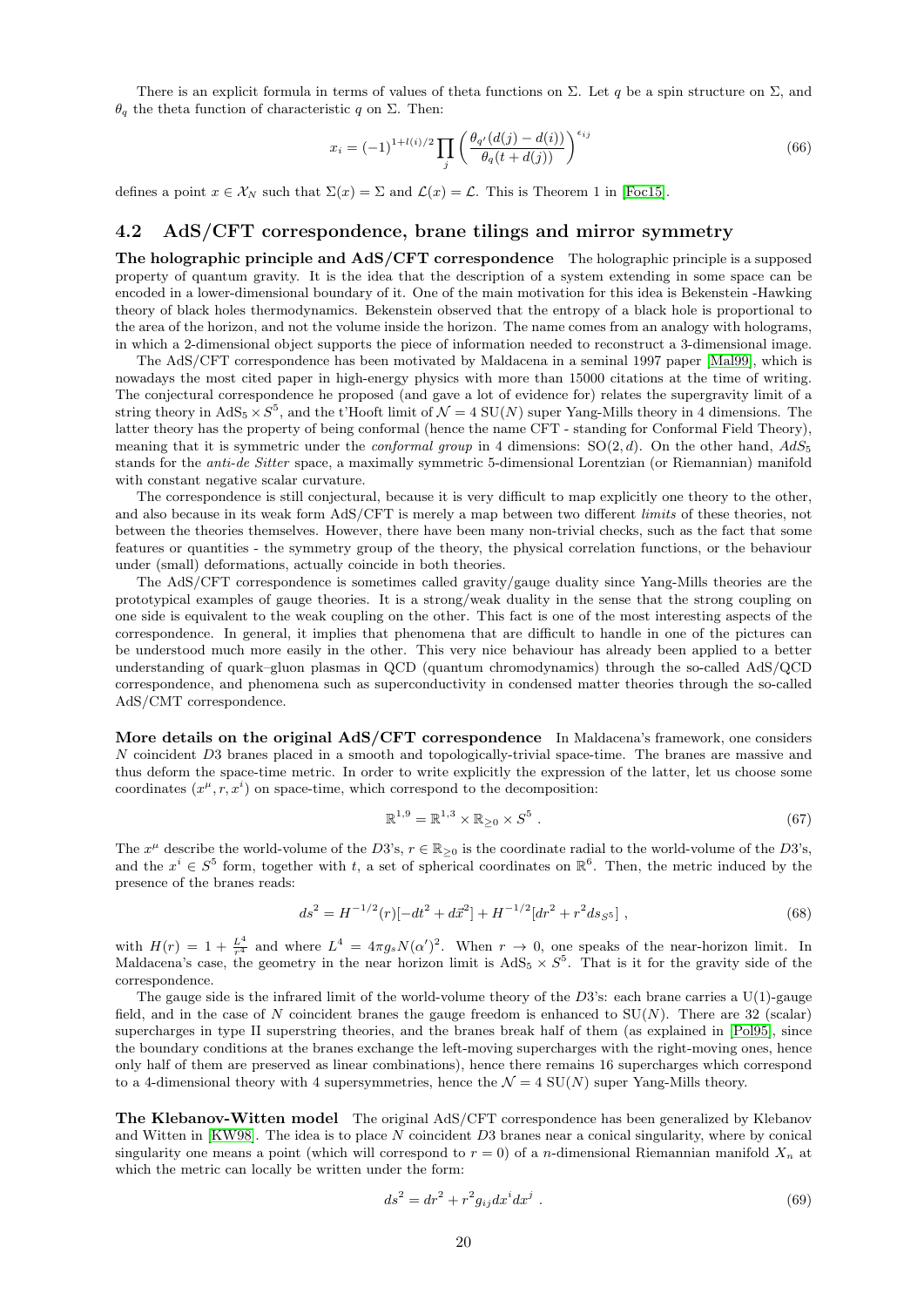There is an explicit formula in terms of values of theta functions on  $\Sigma$ . Let q be a spin structure on  $\Sigma$ , and  $\theta_q$  the theta function of characteristic q on  $\Sigma$ . Then:

$$
x_i = (-1)^{1+l(i)/2} \prod_j \left( \frac{\theta_{q'}(d(j) - d(i))}{\theta_q(t + d(j))} \right)^{\epsilon_{ij}} \tag{66}
$$

defines a point  $x \in \mathcal{X}_N$  such that  $\Sigma(x) = \Sigma$  and  $\mathcal{L}(x) = \mathcal{L}$ . This is Theorem 1 in [\[Foc15\]](#page-22-12).

## <span id="page-19-0"></span>4.2 AdS/CFT correspondence, brane tilings and mirror symmetry

The holographic principle and AdS/CFT correspondence The holographic principle is a supposed property of quantum gravity. It is the idea that the description of a system extending in some space can be encoded in a lower-dimensional boundary of it. One of the main motivation for this idea is Bekenstein -Hawking theory of black holes thermodynamics. Bekenstein observed that the entropy of a black hole is proportional to the area of the horizon, and not the volume inside the horizon. The name comes from an analogy with holograms, in which a 2-dimensional object supports the piece of information needed to reconstruct a 3-dimensional image.

The AdS/CFT correspondence has been motivated by Maldacena in a seminal 1997 paper [\[Mal99\]](#page-22-13), which is nowadays the most cited paper in high-energy physics with more than 15000 citations at the time of writing. The conjectural correspondence he proposed (and gave a lot of evidence for) relates the supergravity limit of a string theory in  $AdS_5 \times S^5$ , and the t'Hooft limit of  $\mathcal{N} = 4$  SU(N) super Yang-Mills theory in 4 dimensions. The latter theory has the property of being conformal (hence the name CFT - standing for Conformal Field Theory), meaning that it is symmetric under the *conformal group* in 4 dimensions:  $SO(2,d)$ . On the other hand,  $AdS_5$ stands for the anti-de Sitter space, a maximally symmetric 5-dimensional Lorentzian (or Riemannian) manifold with constant negative scalar curvature.

The correspondence is still conjectural, because it is very difficult to map explicitly one theory to the other, and also because in its weak form AdS/CFT is merely a map between two different *limits* of these theories, not between the theories themselves. However, there have been many non-trivial checks, such as the fact that some features or quantities - the symmetry group of the theory, the physical correlation functions, or the behaviour under (small) deformations, actually coincide in both theories.

The AdS/CFT correspondence is sometimes called gravity/gauge duality since Yang-Mills theories are the prototypical examples of gauge theories. It is a strong/weak duality in the sense that the strong coupling on one side is equivalent to the weak coupling on the other. This fact is one of the most interesting aspects of the correspondence. In general, it implies that phenomena that are difficult to handle in one of the pictures can be understood much more easily in the other. This very nice behaviour has already been applied to a better understanding of quark–gluon plasmas in QCD (quantum chromodynamics) through the so-called AdS/QCD correspondence, and phenomena such as superconductivity in condensed matter theories through the so-called AdS/CMT correspondence.

More details on the original AdS/CFT correspondence In Maldacena's framework, one considers N coincident D3 branes placed in a smooth and topologically-trivial space-time. The branes are massive and thus deform the space-time metric. In order to write explicitly the expression of the latter, let us choose some coordinates  $(x^{\mu}, r, x^{i})$  on space-time, which correspond to the decomposition:

$$
\mathbb{R}^{1,9} = \mathbb{R}^{1,3} \times \mathbb{R}_{\geq 0} \times S^5 \tag{67}
$$

The  $x^{\mu}$  describe the world-volume of the D3's,  $r \in \mathbb{R}_{\geq 0}$  is the coordinate radial to the world-volume of the D3's, and the  $x^i \in S^5$  form, together with t, a set of spherical coordinates on  $\mathbb{R}^6$ . Then, the metric induced by the presence of the branes reads:

<span id="page-19-2"></span>
$$
ds^{2} = H^{-1/2}(r)[-dt^{2} + d\vec{x}^{2}] + H^{-1/2}[dr^{2} + r^{2}ds_{S^{5}}],
$$
\n(68)

with  $H(r) = 1 + \frac{L^4}{r^4}$  and where  $L^4 = 4\pi g_s N(\alpha')^2$ . When  $r \to 0$ , one speaks of the near-horizon limit. In Maldacena's case, the geometry in the near horizon limit is  $AdS_5 \times S^5$ . That is it for the gravity side of the correspondence.

The gauge side is the infrared limit of the world-volume theory of the D3's: each brane carries a U(1)-gauge field, and in the case of N coincident branes the gauge freedom is enhanced to  $SU(N)$ . There are 32 (scalar) supercharges in type II superstring theories, and the branes break half of them (as explained in [\[Pol95\]](#page-22-14), since the boundary conditions at the branes exchange the left-moving supercharges with the right-moving ones, hence only half of them are preserved as linear combinations), hence there remains 16 supercharges which correspond to a 4-dimensional theory with 4 supersymmetries, hence the  $\mathcal{N} = 4$  SU(N) super Yang-Mills theory.

The Klebanov-Witten model The original AdS/CFT correspondence has been generalized by Klebanov and Witten in [\[KW98\]](#page-22-15). The idea is to place N coincident D3 branes near a conical singularity, where by conical singularity one means a point (which will correspond to  $r = 0$ ) of a *n*-dimensional Riemannian manifold  $X_n$  at which the metric can locally be written under the form:

<span id="page-19-1"></span>
$$
ds^2 = dr^2 + r^2 g_{ij} dx^i dx^j . \t\t(69)
$$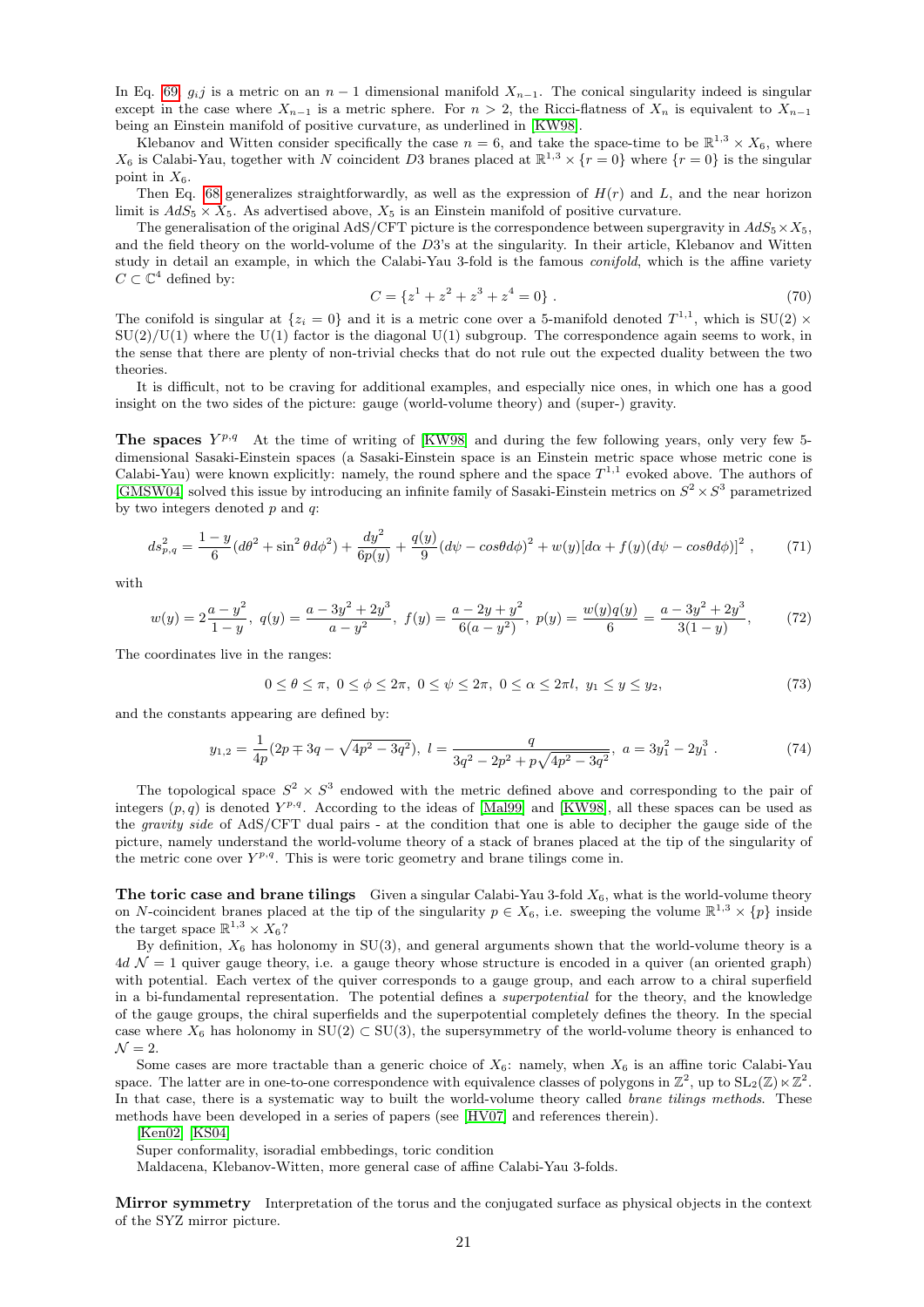In Eq. [69,](#page-19-1)  $g_i$  is a metric on an  $n-1$  dimensional manifold  $X_{n-1}$ . The conical singularity indeed is singular except in the case where  $X_{n-1}$  is a metric sphere. For  $n > 2$ , the Ricci-flatness of  $X_n$  is equivalent to  $X_{n-1}$ being an Einstein manifold of positive curvature, as underlined in [\[KW98\]](#page-22-15).

Klebanov and Witten consider specifically the case  $n = 6$ , and take the space-time to be  $\mathbb{R}^{1,3} \times X_6$ , where  $X_6$  is Calabi-Yau, together with N coincident D3 branes placed at  $\mathbb{R}^{1,3} \times \{r=0\}$  where  $\{r=0\}$  is the singular point in  $X_6$ .

Then Eq. [68](#page-19-2) generalizes straightforwardly, as well as the expression of  $H(r)$  and L, and the near horizon limit is  $AdS_5 \times X_5$ . As advertised above,  $X_5$  is an Einstein manifold of positive curvature.

The generalisation of the original AdS/CFT picture is the correspondence between supergravity in  $AdS_5 \times X_5$ , and the field theory on the world-volume of the D3's at the singularity. In their article, Klebanov and Witten study in detail an example, in which the Calabi-Yau 3-fold is the famous conifold, which is the affine variety  $C \subset \mathbb{C}^4$  defined by:

$$
C = \{z^1 + z^2 + z^3 + z^4 = 0\}.
$$
 (70)

The conifold is singular at  $\{z_i = 0\}$  and it is a metric cone over a 5-manifold denoted  $T^{1,1}$ , which is  $SU(2) \times$  $SU(2)/U(1)$  where the U(1) factor is the diagonal U(1) subgroup. The correspondence again seems to work, in the sense that there are plenty of non-trivial checks that do not rule out the expected duality between the two theories.

It is difficult, not to be craving for additional examples, and especially nice ones, in which one has a good insight on the two sides of the picture: gauge (world-volume theory) and (super-) gravity.

The spaces  $Y^{p,q}$  At the time of writing of [\[KW98\]](#page-22-15) and during the few following years, only very few 5dimensional Sasaki-Einstein spaces (a Sasaki-Einstein space is an Einstein metric space whose metric cone is Calabi-Yau) were known explicitly: namely, the round sphere and the space  $T^{1,1}$  evoked above. The authors of [\[GMSW04\]](#page-22-16) solved this issue by introducing an infinite family of Sasaki-Einstein metrics on  $S^2 \times S^3$  parametrized by two integers denoted  $p$  and  $q$ :

$$
ds_{p,q}^{2} = \frac{1-y}{6} (d\theta^{2} + \sin^{2} \theta d\phi^{2}) + \frac{dy^{2}}{6p(y)} + \frac{q(y)}{9} (d\psi - \cos\theta d\phi)^{2} + w(y)[d\alpha + f(y)(d\psi - \cos\theta d\phi)]^{2},
$$
 (71)

with

$$
w(y) = 2\frac{a - y^2}{1 - y}, \ q(y) = \frac{a - 3y^2 + 2y^3}{a - y^2}, \ f(y) = \frac{a - 2y + y^2}{6(a - y^2)}, \ p(y) = \frac{w(y)q(y)}{6} = \frac{a - 3y^2 + 2y^3}{3(1 - y)}, \tag{72}
$$

The coordinates live in the ranges:

$$
0 \le \theta \le \pi, \ 0 \le \phi \le 2\pi, \ 0 \le \psi \le 2\pi, \ 0 \le \alpha \le 2\pi l, \ y_1 \le y \le y_2,\tag{73}
$$

and the constants appearing are defined by:

$$
y_{1,2} = \frac{1}{4p}(2p \mp 3q - \sqrt{4p^2 - 3q^2}), \ l = \frac{q}{3q^2 - 2p^2 + p\sqrt{4p^2 - 3q^2}}, \ a = 3y_1^2 - 2y_1^3 \ . \tag{74}
$$

The topological space  $S^2 \times S^3$  endowed with the metric defined above and corresponding to the pair of integers  $(p, q)$  is denoted  $Y^{p,q}$ . According to the ideas of [\[Mal99\]](#page-22-13) and [\[KW98\]](#page-22-15), all these spaces can be used as the gravity side of AdS/CFT dual pairs - at the condition that one is able to decipher the gauge side of the picture, namely understand the world-volume theory of a stack of branes placed at the tip of the singularity of the metric cone over  $Y^{p,q}$ . This is were toric geometry and brane tilings come in.

**The toric case and brane tilings** Given a singular Calabi-Yau 3-fold  $X_6$ , what is the world-volume theory on N-coincident branes placed at the tip of the singularity  $p \in X_6$ , i.e. sweeping the volume  $\mathbb{R}^{1,3} \times \{p\}$  inside the target space  $\mathbb{R}^{1,3} \times X_6$ ?

By definition,  $X_6$  has holonomy in SU(3), and general arguments shown that the world-volume theory is a  $4d \mathcal{N} = 1$  quiver gauge theory, i.e. a gauge theory whose structure is encoded in a quiver (an oriented graph) with potential. Each vertex of the quiver corresponds to a gauge group, and each arrow to a chiral superfield in a bi-fundamental representation. The potential defines a superpotential for the theory, and the knowledge of the gauge groups, the chiral superfields and the superpotential completely defines the theory. In the special case where  $X_6$  has holonomy in  $SU(2) \subset SU(3)$ , the supersymmetry of the world-volume theory is enhanced to  $\mathcal{N}=2.$ 

Some cases are more tractable than a generic choice of  $X_6$ : namely, when  $X_6$  is an affine toric Calabi-Yau space. The latter are in one-to-one correspondence with equivalence classes of polygons in  $\mathbb{Z}^2$ , up to  $SL_2(\mathbb{Z}) \ltimes \mathbb{Z}^2$ . In that case, there is a systematic way to built the world-volume theory called *brane tilings methods*. These methods have been developed in a series of papers (see [\[HV07\]](#page-22-17) and references therein).

[\[Ken02\]](#page-22-18) [\[KS04\]](#page-22-19)

Super conformality, isoradial embbedings, toric condition

Maldacena, Klebanov-Witten, more general case of affine Calabi-Yau 3-folds.

Mirror symmetry Interpretation of the torus and the conjugated surface as physical objects in the context of the SYZ mirror picture.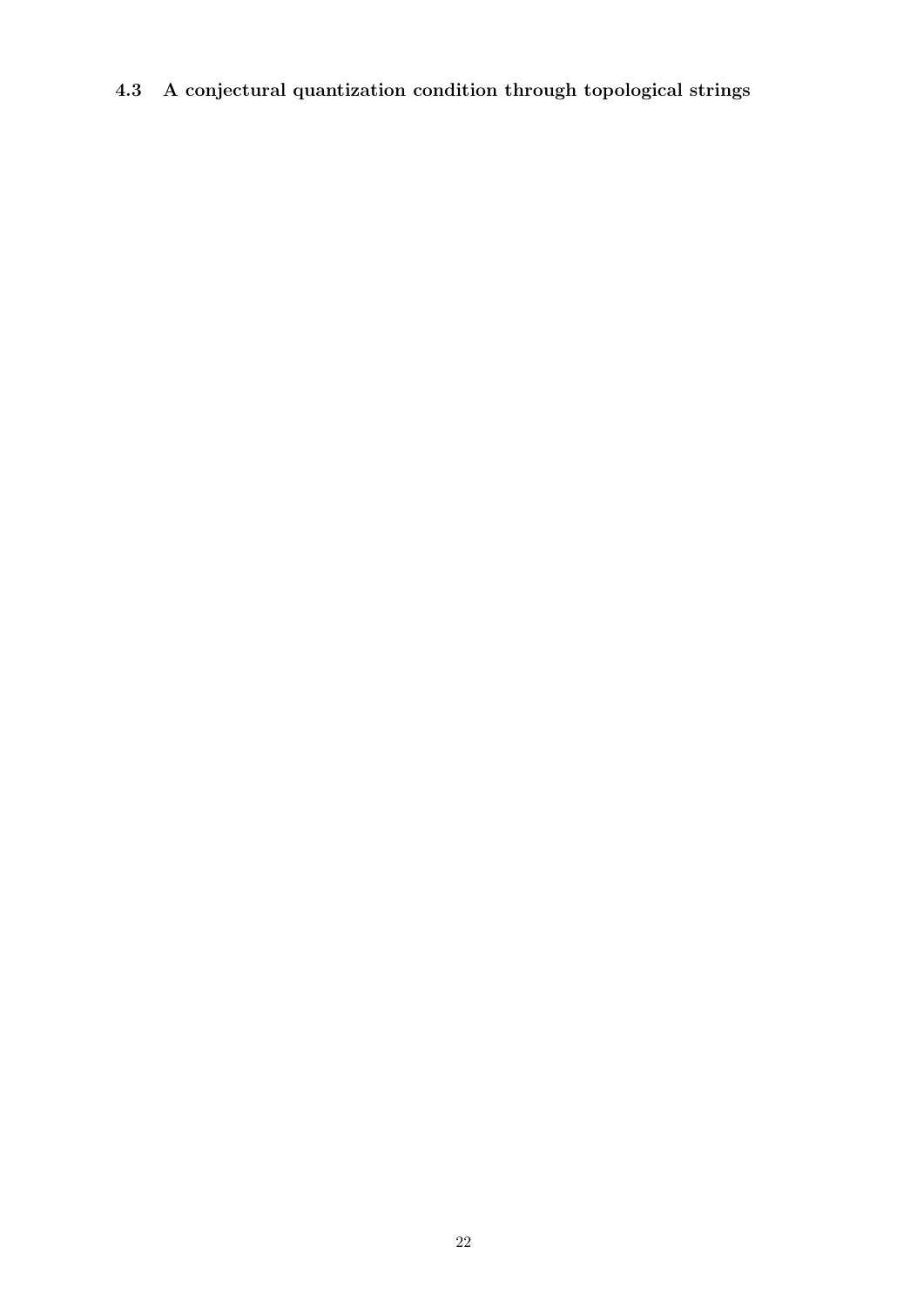<span id="page-21-0"></span>4.3 A conjectural quantization condition through topological strings